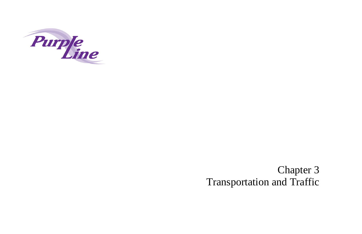

# Chapter 3 Transportation and Traffic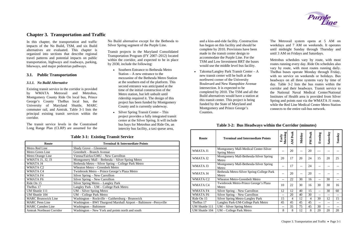# **Chapter 3. Transportation and Traffic**

In this chapter, the transportation and traffic impacts of the No Build, TSM, and six Build alternatives are evaluated. This chapter is organized into sections that describe regional travel patterns and potential impacts on public transportation, highways and roadways, parking, bikeways, and major pedestrian pathways.

# **3.1. Public Transportation**

# *3.1.1. No Build Alternative*

Existing transit service in the corridor is provided by WMATA Metrorail and Metrobus, Montgomery County Ride On local bus, Prince George's County TheBus local bus, the University of Maryland Shuttle, MARC commuter rail, and Amtrak. [Table 3-1](#page-2-0) lists the principal existing transit services within the corridor.

<span id="page-2-1"></span>The transit service levels in the Constrained Long Range Plan (CLRP) are assumed for the

- Southern Entrance to Bethesda Metro Station – A new entrance to the mezzanine of the Bethesda Metro Station at the southern end of the platform. This second entrance was anticipated at the time of the initial construction of the Metro station, but left unbuilt until ridership required it. The design of this project has been funded by Montgomery County and is currently underway.
- • Silver Spring Transit Center – This project provides a fully integrated transit center at the Silver Spring. It will include bus bays for Metrobus and Ride On, an intercity bus facility, a taxi queue area,

No Build alternative except for the Bethesda to Silver Spring segment of the Purple Line.

Transit projects in the Maryland Consolidated Transportation Program (FY 2007–2012) located within the corridor, and expected to be in place by 2030, include the following:

and a kiss-and-ride facility. Construction has begun on this facility and should be complete by 2010. Provisions have been made in the transit center design to accommodate the Purple Line. For the TSM and Low Investment BRT the buses would use the middle level bus facility.

• Takoma/Langley Park Transit Center – A new transit center will be built at the northwest corner of the University Boulevard and New Hampshire Avenue intersection. It is expected to be completed by 2010. The TSM and all the Build alternatives would have a station at this transit center. This project is being funded by the State of Maryland and Montgomery and Prince George's Counties.

The Metrorail system opens at 5 AM on weekdays and 7 AM on weekends. It operates until midnight Sunday through Thursday and until 3 AM on Fridays and Saturdays.

Metrobus schedules vary by route, with most routes running every day. Ride On schedules also vary by route, with most routes running daily. TheBus buses operate Monday through Friday, with no service on weekends or holidays. Bus headways on all three systems vary by time of day. [Table 3-2](#page-2-1) lists the bus routes within the corridor and their headways. Transit service to the National Naval Medical Center/National Institutes of Health area is provided from Silver Spring and points east via the WMATA J1 route, while the Red Line Medical Center Metro Station connects to the entire rail-bus network.

| <b>Table 3-1: Existing Transit Service</b> |
|--------------------------------------------|
|--------------------------------------------|

<span id="page-2-0"></span>

| Route                            | <b>Terminal &amp; Intermediate Points</b>                           |
|----------------------------------|---------------------------------------------------------------------|
| Metro Red Line                   | Shady Grove - Glenmont                                              |
| Metro Green Line                 | Greenbelt – Branch Avenue                                           |
| Metro Orange Line                | Vienna/Fairfax/GMU – New Carrollton                                 |
| <b>WMATA J1, J2, J3</b>          | Montgomery Mall – Bethesda – Silver Spring Metro                    |
| WMATA J4                         | Bethesda Metro - Silver Spring - College Park Metro                 |
| WMATA C <sub>2</sub>             | Wheaton Metro – Greenbelt Metro                                     |
| WMATA C4                         | Twinbrook Metro - Prince George's Plaza Metro                       |
| WMATA F4                         | Silver Spring – New Carrollton                                      |
| WMATA F6                         | Silver Spring - New Carrollton                                      |
| Ride On 15                       | Silver Spring Metro - Langley Park                                  |
| TheBus 17                        | Langley Park – UM – College Park Metro                              |
| UM Shuttle 111                   | UM – Silver Spring Metro                                            |
| UM Shuttle 104                   | UM – College Park Metro                                             |
| <b>MARC Brunswick Line</b>       | Washington - Rockville - Gaithersburg - Brunswick                   |
| <b>MARC</b> Penn Line            | Washington - BWI Thurgood Marshall Airport - Baltimore - Perryville |
| <b>MARC</b> Camden Line          | Washington - Baltimore                                              |
| <b>Amtrak Northeast Corridor</b> | Washington – New York and points north and south                    |

**Table 3-2: Bus Headways within the Corridor (minutes)**

| Route               | Early<br><b>Terminal and Intermediate Points</b>      |    | Peak<br>NN. | Midday | Peak<br>M | Evening | Saturday | Sunday |
|---------------------|-------------------------------------------------------|----|-------------|--------|-----------|---------|----------|--------|
| <b>WMATA J1</b>     | Montgomery Mall-Medical Center-Silver<br>Spring Metro | -- | 20          | $-$    | 20        | ---     | --       |        |
| WMATA J2            | Montgomery Mall-Bethesda-Silver Spring<br>Metro       | 20 | 17          | 20     | 24        | 15      | 20       | 25     |
| WMATA J3            | Montgomery Mall-Bethesda-Silver Spring<br>Metro       | -- | 17          | $-$    | 24        |         |          |        |
| WMATA J4            | Bethesda Metro-Silver Spring-College Park<br>Metro    |    | 20          | $-$    | 20        | --      | --       |        |
| WMATA <sub>C2</sub> | <b>Wheaton Metro-Greenbelt Metro</b>                  |    | 22          | 30     | 16        | $-$     | 30       | --     |
| WMATA C4            | Twinbrook Metro-Prince George's Plaza<br>Metro        |    | 22          | 30     | 16        | 30      | 30       | 16     |
| WMATA F4            | Silver Spring – New Carrollton                        | 12 | 12          | 40     | 15        | $-$     | 30       | 60     |
| WMATA F6            | Silver Spring – New Carrollton                        |    | 20          | 40     | 30        | $-$     | $-$      | --     |
| Ride On 15          | <b>Silver Spring Metro-Langley Park</b>               |    | 4           | 12     | 4         | 30      | 12       | 15     |
| TheBus 17           | Langley Park-UM-College Park Metro                    |    | 45          | 45     | 45        | $-$     | $- -$    | --     |
| UM Shuttle 111      | UM – Silver Spring Metro                              | -- | 35          | 75     | 45        | 30      | --       | --     |
| UM Shuttle 104      | UM – College Park Metro                               | 8  | 8           | 12     | 8         | 20      | 20       | 20     |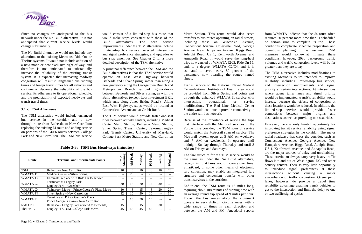

Since no changes are anticipated to the bus network under the No Build alternative, it is not anticipated that current service levels would change substantially.

The No Build alternative would not include any alterations to the existing Metrobus, Ride On, or TheBus systems. It would not include addition of a new mode or new exclusive right-of-way, and therefore is not anticipated to substantially increase the reliability of the existing transit system. It is expected that increasing roadway congestion will result in lengthened bus running times and longer travel times for all vehicles and continue to decrease the reliability of the bus service, its adherence to its operational schedule, and the predictability of expected headways and transit travel times.

# *3.1.2. TSM Alternative*

The TSM alternative would include enhanced bus service in the corridor and a new through-route from Bethesda to New Carrollton replacing the existing J4 route and adding service on portions of the F4/F6 routes between College Park and New Carrollton. The TSM bus service

would consist of a limited-stop bus route that would make stops consistent with those of the Build alternatives. The core service improvements under the TSM alternative include limited-stop bus service, selected intersection and signal preference strategies, and upgrades to bus stop amenities. See Chapter 2 for a more detailed description of the TSM alternative.

A principal difference between the TSM and the Build alternatives is that the TSM service would operate on East West Highway between Bethesda and Silver Spring, rather than along a new guideway along the Georgetown Branch and Metropolitan Branch railroad rights-of-way between Bethesda and Silver Spring, as with the Build alternatives (except Low Investment BRT, which runs along Jones Bridge Road.) Along East West Highway, stops would be located at Connecticut Avenue and at Grubb Road.

The TSM service would provide faster one-seat rides between activity centers, including Medical Center Metro Station, Bethesda Metro Station, Silver Spring Transit Center, Takoma/Langley Park Transit Center, University of Maryland, College Park Metro Station, and New Carrollton

**AM Peak AM Peak**  PM Peak Weekend **Weekend Early Morning PM Peak Evening Midday Route Terminal and Intermediate Points** TSM Bethesda – New Carrollton 10 6 10 6 10 20 WMATA J1 Medical Center – Silver Spring -- 20 -- 20 -- -- WMATA J3 | Eliminate; replace with Ride On 15 service  $\vert$  --  $\vert$  --  $\vert$  --  $\vert$  --  $\vert$  --  $\vert$  --WMATA C2  $\begin{array}{|l|c|c|c|c|c|}\n\hline \text{Terminate at Langley Park} & & & 30 & 15 & 20 & 15 & 30 \\
\hline \text{Langley Park} & & & & 30 & 15 & 30 & 30\n\end{array}$ WMATA C4 | Twinbrook Metro – Prince George's Plaza Metro | 10 | 8 | 15 | 8 | 20 | 20 WMATA F4 Silver Spring – New Carrollton 12 10 30 10 -- 30 WMATA F6 Terminate at Prince George's Plaza Prince George's Plaza – New Carrollton -- 15 30 15 -- -- Ride On 15 Bethesda – Langley Park (extend to Bethesda)  $15 \mid 15 \mid 15 \mid 30 \mid 15$ TheBus 17 | Langley Park–UM–College Park Metro |  $45$  |  $45$  |  $45$  |  $45$  |  $-$  |  $-$ 

Metro Station. This route would also serve transfers to bus routes operating on radial streets, including those on Wisconsin Avenue, Connecticut Avenue, Colesville Road, Georgia Avenue, New Hampshire Avenue, Riggs Road, Adelphi Road, US 1, Kenilworth Avenue, and Annapolis Road. It would serve the long-haul trips now carried by WMATA J2/J3, Ride On 15, and, to a degree, WMATA C2/C4, and it is estimated to serve nearly 80 percent of the passengers now boarding the routes named above.

Transit service to the National Naval Medical Center/National Institutes of Health area would be provided from Silver Spring and points east through the enhanced WMATA J1 service with intersection, operational, or service modifications. The Red Line Medical Center Station would continue to provide connectivity to the entire rail-bus network.

Because of the importance of serving the trips that interface with the Metrorail services in the Purple Line corridor, the TSM span of service would match the Metrorail span of service. The Metrorail system opens at 5 AM on weekdays and 7 AM on weekends. It operates until midnight Sunday through Thursday and until 3 AM on Fridays and Saturdays.

The fare structure for the TSM service would be the same as under the No Build alternative, recognizing that fares would increase over time. SmartCard, or some other means of electronic fare collection, may enable an integrated fare structure and convenient transfer with other transit services in the corridors.

End-to-end, the TSM route is 16 miles long, requiring about 108 minutes of running time with an average round trip speed of 9 miles per hour. Today, the bus routes along the alignment operate in very difficult circumstances with a wide range of times in each direction and between the AM and PM. Anecdotal reports

from WMATA indicate that the J4 route often requires 50 percent more time than is scheduled on certain runs to complete its trip. These conditions complicate schedule preparation and operations planning. It is assumed TSM measures would somewhat mitigate these conditions; however, 2030 background traffic volumes and traffic congestion levels will be far greater than they are today.

The TSM alternative includes modifications to existing Metrobus routes intended to improve reliability, including limited-stop bus service, and intersection improvements and signal priority at certain intersections. At intersections where queue jump lanes and signal priority would be implemented, transit's reliability would increase because the effects of congestion at these locations would be reduced. In addition, the limited-stop service would provide faster connections between major origins and destinations, as well as providing one-seat rides.

However, there is only limited opportunity for improving transit service reliability using signal preference strategies in the corridor. The major radial roadways that cross the corridor, such as Connecticut Avenue, Georgia Avenue, New Hampshire Avenue, Riggs Road, Adelphi Road, US 1, Kenilworth Avenue, and Annapolis Road, are the major sources of delay and unreliability. These arterial roadways carry very heavy traffic flows into and out of Washington, DC and other activity centers. There is very little opportunity to introduce signal preferences at these intersections without causing a major exacerbation of traffic congestion. Queue jump lanes, however, do provide a travel time reliability advantage enabling transit vehicles to get to the intersection and limit the delay to one or two traffic signal cycles.

**Table 3-3: TSM Bus Headways (minutes)**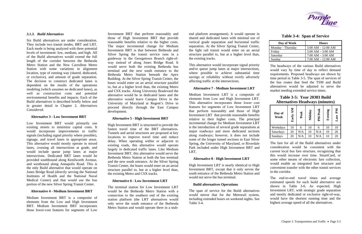# *3.1.3. Build Alternatives*

Six Build alternatives are under consideration. They include two transit modes, BRT and LRT. Each mode is being analyzed with three potential levels of investment: low, medium, and high. All of the Build alternatives would extend the full length of the corridor between the Bethesda Metro Station and the New Carrollton Metro Station with some variations in alignment location, type of running way (shared, dedicated, or exclusive), and amount of grade separation. The decision to construct dedicated lanes is dependent on the results of the operations modeling (which assumes no dedicated lanes), as well as construction costs and potential environmental benefits and impacts. Each of the Build alternatives is described briefly below and in greater detail in Chapter 2, *Alternatives Considered*.

# **Alternative 3 - Low Investment BRT**

Low Investment BRT would primarily use existing streets to minimize capital costs. It would incorporate improvements to traffic signals (including signal priority where possible), signage, and travel lanes in appropriate areas. This alternative would mostly operate in mixed lanes, crossing all intersections at grade, and would include queue jump lanes at major intersections. Dedicated BRT lanes would be provided southbound along Kenilworth Avenue, and westbound along Annapolis Road. This is the only Build alternative that would operate on Jones Bridge Road (directly serving the National Institutes of Health and the National Naval Medical Center) and that would use the bus portion of the new Silver Spring Transit Center.

#### **Alternative 4 - Medium Investment BRT**

Medium Investment BRT is a composite of elements from the Low and High Investment BRT. Medium Investment BRT incorporates those lower-cost features for segments of Low

Investment BRT that perform reasonably and those of High Investment BRT that provide reasonable benefits relative to the higher costs. The major incremental change for Medium Investment BRT is that between Bethesda and Silver Spring the transit service runs in a guideway in the Georgetown Branch right-ofway instead of along Jones Bridge Road. It would serve both the existing Bethesda bus terminal and the new south entrance to the Bethesda Metro Station beneath the Apex Building. At the Silver Spring Transit Center, the buses would enter on an aerial structure parallel to, but at a higher level than, the existing Metro and CSX tracks. Along University Boulevard the alternative would be in dedicated lanes and the alternative would leave Campus Drive in the University of Maryland at Regent's Drive to proceed directly through the East Campus development.

# **Alternative 5 - High Investment BRT**

High Investment BRT is structured to provide the fastest travel time of the BRT alternatives. Tunnels and aerial structures are proposed at key locations to improve travel time and reduce delay. When operating within or adjacent to existing roads, this alternative would operate largely in dedicated traffic lanes. Like Medium Investment BRT, this alternative would serve the Bethesda Metro Station at both the bus terminal and the new south entrance. At the Silver Spring Transit Center, the buses would enter on an aerial structure parallel to, but at a higher level than, the existing Metro and CSX tracks.

# **Alternative 6 - Low Investment LRT**

The terminal station for Low Investment LRT would be the Bethesda Metro Station with a connection to the southern end of the existing station platform (the LRT alternatives would only serve the south entrance of the Bethesda Metro Station and would operate there in a stubend platform arrangement). It would operate in<br>shared and dedicated lanes with minimal use of<br>vertical grade separation and horizontal traffic<br>separation. At the Silver Spring Transit Center,<br>the light rail transit would e

# **Alternative 7 - Medium Investment LRT**

Medium Investment LRT is a composite of<br>elements from Low and High Investment LRT.<br>This alternative incorporates those lower cost<br>features for segments of Low Investment LRT<br>that perform reasonably and those of High<br>Invest share and decirated lanes with minimi use of<br>
stars and the stars of the stars of the stars of the stars of the stars and horizontal traffic<br>
separation and horizontal traffic<br>
the light case and horizontal traffic<br>
the l

# **Alternative 8 - High Investment LRT**

High Investment LRT is nearly identical to High Investment BRT, except that it only serves the south entrance of the Bethesda Metro Station and would not serve the bus terminal.

#### **Build alternatives Operations**



|  |  | <b>Table 3-4: Span of Service</b> |
|--|--|-----------------------------------|
|--|--|-----------------------------------|

| Day of Week       | <b>Hours</b>          |
|-------------------|-----------------------|
| Monday - Thursday | $5:00$ AM $-12:00$ AM |
| Friday            | $5:00 AM - 3:00 AM$   |
| Saturday          | $7:00 AM - 3:00 AM$   |
| Sunday            | $7:00 AM - 12:00 AM$  |

| Day of<br><b>Week</b> | Early AM | Peak | Midday | Peak<br>M | Evening | Md<br>Late |
|-----------------------|----------|------|--------|-----------|---------|------------|
| Weekdays              | 10       | 6    | 10     |           | 10      | 10         |
| Saturdays             | 20       | N/A  | 10     | N/A       | 10      | 20         |
| Sundays               | 20       | N/A  | 10     | N/A       | 10      | 20         |

The fare for all of the Build alternatives under consideration would be consistent with the current local bus fare structure, recognizing that this would increase over time. SmartCard, or some other means of electronic fare collection, would enable an integrated fare structure and convenient transfer with the other transit services in the corridor.

The end-to-end travel times and average estimated speeds for each build alternative are shown in Table 3-6. As expected, High Investment LRT, with strategic grade separation and mostly dedicated or exclusive right-of-way, would have the shortest running time and the highest average speed of all the alternatives.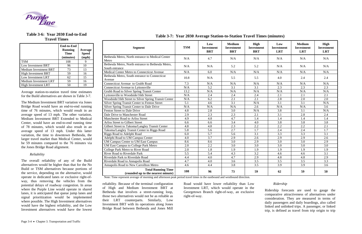

# **Table 3-6: Year 2030 End-to-End Travel Times**

|                              | <b>End-to-End</b><br><b>Running</b><br><b>Time</b><br>(minutes) | Average<br><b>Speed</b><br>(mph) |
|------------------------------|-----------------------------------------------------------------|----------------------------------|
| <b>TSM</b>                   | 108                                                             |                                  |
| Low Investment BRT           | 96                                                              | 10                               |
| <b>Medium Investment BRT</b> | 73                                                              | 13                               |
| <b>High Investment BRT</b>   | 59                                                              | 16                               |
| Low Investment LRT           | 62                                                              | 15                               |
| Medium Investment LRT        | 59                                                              | 16                               |
| <b>High Investment LRT</b>   | 50                                                              | 19                               |

Average station-to-station travel time estimates for the Build alternatives are shown in Table 3-7.

The Medium Investment BRT variation via Jones Bridge Road would have an end-to-end running time of 76 minutes, which would result in an average speed of 13 mph. The other variation, Medium Investment BRT Extended to Medical Center, would have an end-to-end running time of 78 minutes, which would also result in an average speed of 13 mph. Under this latter variation, the time to downtown Bethesda, the larger travel market than Medical Center, would be 59 minutes compared to the 76 minutes via the Jones Bridge Road alignment.

#### *Reliability*

The overall reliability of any of the Build alternatives would be higher than that for the No Build or TSM alternatives because portions of the service, depending on the alternative, would operate in dedicated lanes or exclusive right-ofway, thus removing the vehicles from the potential delays of roadway congestion. In areas where the Purple Line would operate in shared lanes, it is anticipated that queue jump lanes and signal prioritization would be implemented where possible. The High Investment alternatives would have the highest reliability, and the Low Investment alternatives would have the lowest

reliability. Because of the terminal configuration of High and Medium Investment BRT at Bethesda that involves a street-running loop, those two alternatives would not be as reliable as their LRT counterparts. Similarly, Low Investment BRT with its operations along Jones Bridge Road between Bethesda and Jones Mill

Road would have lower reliability than Low Investment LRT, which would operate in the Georgetown Branch right-of-way, an exclusive right-of-way.

|  | (minutes) |  |
|--|-----------|--|
|  |           |  |

# *Ridership*

Ridership forecasts are used to gauge the comparative attractiveness of alternatives under consideration. They are measured in terms of daily passengers and daily boardings, also called linked and unlinked trips. A passenger, or linked trip, is defined as travel from trip origin to trip

| <b>Segment</b>                                                      | <b>TSM</b> | Low<br><b>Investment</b><br><b>BRT</b> | <b>Medium</b><br><b>Investment</b><br><b>BRT</b> | High<br><b>Investment</b><br><b>BRT</b> | Low<br><b>Investment</b><br><b>LRT</b> | <b>Medium</b><br><b>Investment</b><br><b>LRT</b> | High<br><b>Investment</b><br><b>LRT</b> |
|---------------------------------------------------------------------|------------|----------------------------------------|--------------------------------------------------|-----------------------------------------|----------------------------------------|--------------------------------------------------|-----------------------------------------|
| Bethesda Metro, North entrance to Medical Center<br>Metro           | N/A        | 4.7                                    | N/A                                              | N/A                                     | N/A                                    | N/A                                              | N/A                                     |
| Bethesda Metro, North entrance to Bethesda Metro,<br>South entrance | N/A        | N/A                                    | 5.2                                              | 5.2                                     | N/A                                    | N/A                                              | N/A                                     |
| Medical Center Metro to Connecticut Avenue                          | N/A        | 6.0                                    | N/A                                              | N/A                                     | N/A                                    | N/A                                              | N/A                                     |
| Bethesda Metro, South entrance to Connecticut<br>Avenue             | 10.8       | N/A                                    | 5.5                                              | 5.5                                     | 4.0                                    | 2.4                                              | 2.4                                     |
| Connecticut Avenue to Grubb Road                                    | 7.3        | N/A                                    | N/A                                              | N/A                                     | N/A                                    | N/A                                              | N/A                                     |
| <b>Connecticut Avenue to Lyttonsville</b>                           | N/A        | 5.2                                    | 3.1                                              | 3.1                                     | 2.3                                    | 2.3                                              | 2.3                                     |
| Grubb Road to Silver Spring Transit Center                          | 13.2       | N/A                                    | N/A                                              | N/A                                     | N/A                                    | N/A                                              | N/A                                     |
| Lyttonsville to Woodside/16th Street                                | N/A        | 2.4                                    | 2.4                                              | 2.4                                     | 2.1                                    | 2.1                                              | 2.1                                     |
| Woodside/16th Street to Silver Spring Transit Center                | N/A        | 6.2                                    | 2.1                                              | 2.1                                     | 2.8                                    | 2.0                                              | 2.0                                     |
| <b>Silver Spring Transit Center to Fenton Street</b>                | 5.1        | 4.6                                    | 3.1                                              | N/A                                     | 3.1                                    | $\overline{3.1}$                                 | N/A                                     |
| Silver Spring Transit Center to Dale Drive                          | N/A        | N/A                                    | N/A                                              | 2.6                                     | N/A                                    | N/A                                              | 3.6                                     |
| Fenton Street to Dale Drive                                         | 4.8        | 2.8                                    | 3.0                                              | N/A                                     | 3.8                                    | 3.1                                              | N/A                                     |
| Dale Drive to Manchester Road                                       | 2.9        | 2.3                                    | $\overline{2.3}$                                 | 2.1                                     | 3.1                                    | 2.8                                              | 2.4                                     |
| Manchester Road to Arliss Street                                    | 4.9        | 4.8                                    | 4.7                                              | 1.4                                     | 1.4                                    | 1.4                                              | 1.4                                     |
| Arliss Street to Gilbert Street                                     | 6.6        | 6.6                                    | 3.4                                              | 4.0                                     | 3.8                                    | 3.8                                              | 3.8                                     |
| Gilbert Street to Takoma/Langley Transit Center                     | 4.8        | 4.8                                    | 2.3                                              | 2.2                                     | 2.2                                    | 2.2                                              | 2.1                                     |
| Takoma/Langley Transit Center to Riggs Road                         | 5.8        | 5.6                                    | 2.7                                              | 1.7                                     | 2.4                                    | 2.4                                              | 1.7                                     |
| Riggs Road to Adelphi Road                                          | 6.0        | 5.7                                    | 5.6                                              | 3.1                                     | 3.3                                    | 3.3                                              | 3.1                                     |
| Adelphi Road to UM Campus Center                                    | 4.0        | 3.7                                    | 2.9                                              | 2.6                                     | 2.9                                    | 2.9                                              | 2.6                                     |
| <b>UM Campus Center to UM East Campus</b>                           | 8.6        | 8.6                                    | $\overline{3.0}$                                 | 2.9                                     | 3.0                                    | 3.0                                              | 2.9                                     |
| UM East Campus to College Park Metro                                | 2.0        | 2.2                                    | 3.0                                              | 3.0                                     | 3.0                                    | 3.0                                              | 3.0                                     |
| College Park Metro to River Road                                    | 2.0        | 1.8                                    | 1.9                                              | 1.9                                     | 1.9                                    | 1.9                                              | 1.9                                     |
| <b>River Road to Riverdale Park</b>                                 | 5.5        | 5.4                                    | 4.3                                              | 3.2                                     | 4.6                                    | 4.6                                              | 3.1                                     |
| Riverdale Park to Riverdale Road                                    | 4.4        | 4.0                                    | 4.7                                              | 2.9                                     | 4.8                                    | 4.8                                              | 2.9                                     |
| Riverdale Road to Annapolis Road                                    | 4.7        | 4.0                                    | 3.6                                              | 3.5                                     | 3.5                                    | 3.5                                              | 3.3                                     |
| Annapolis Road to New Carrollton Metro                              | 4.6        | 4.4                                    | $\overline{3.8}$                                 | $\overline{3.5}$                        | 3.9                                    | 3.9                                              | $\overline{3.6}$                        |
| <b>Total Running Time</b><br>(rounded up to the nearest minute)     | 108        | 96                                     | 73                                               | 59                                      | 62                                     | 59                                               | 50                                      |

# **Table 3-7: Year 2030 Average Station-to-Station Travel Times**

Note: Time represent average of morning and afternoon peak period travel times in the eastbound and westbound direction.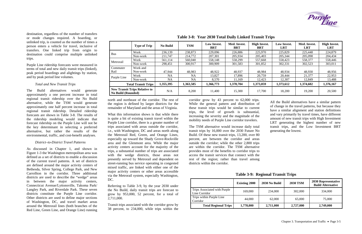destination, regardless of the number of transfers or mode changes required. A boarding, or unlinked trip, is counted as the number of times a person enters a vehicle for travel, inclusive of transfers. One linked trip from origin to destination could comprise multiple unlinked trips.

Purple Line ridership forecasts were measured in terms of total and new daily transit trips (linked), peak period boardings and alightings by station, and by peak period line volumes.

# *Total and New Transit Trips*

The Build alternatives would generate approximately a one percent increase in total regional transit ridership over the No Build alternative, while the TSM would generate approximately one half percent increase in total regional transit ridership. Detailed ridership forecasts are shown in Table 3-8. The results of the ridership modeling would indicate that forecast ridership on the Purple Line will not be the key determinant in selecting a preferred alternative, but rather the results of the environmental, traffic, and cost-benefit analyses.

## *District–to-District Travel Patterns*

As discussed in Chapter 1, and shown in Figure 1-3 the Washington metropolitan area was defined as a set of districts to enable a discussion of the current travel patterns. A set of districts are defined around the major activity centers of Bethesda, Silver Spring, College Park, and New Carrollton in the corridor. Three additional districts are used to describe the "wedge" areas in between the major activity centers, Connecticut Avenue/Lyttonsville, Takoma Park/ Langley Park, and Riverdale Park. These seven districts constitute the Purple Line corridor. Other districts are used to define major sections of Washington, DC, and travel market areas around the Metrorail lines (both branches of the Red Line, Green Line, and Orange Line) running north and northeast of the corridor. The rest of the region is defined by larger districts for the remainder of Maryland and the areas of Virginia.

What this information shows is that while there is quite a bit of existing transit travel within the Purple Line corridor, there is a greater number of trips associated with areas outside the corridor, i.e., with Washington, DC and areas north along the Metrorail Red, Green, and Orange Lines, especially up toward the Shady Grove-Rockville area and the Glenmont area. While the major activity centers account for the majority of the trips, a substantial number of trips are associated with the wedge districts, those areas not presently served by Metrorail and dependent on street-running bus service operating in congested mixed traffic, are linked with either one of the major activity centers or other areas accessible via the Metrorail system, especially Washington, DC.

Referring to Table 3-9, by the year 2030 under the No Build, daily transit trips are forecast to grow by 953,000, 52 percent, for a total of 2,711,000.

Transit trips associated with the corridor grow by 38 percent, to 234,000, while trips within the

corridor grow by 43 percent to 62,000 trips. While the general pattern and distribution of these transit trips would be similar to current trips, the level of growth is substantial, increasing the severity and the magnitude of the mobility needs of Purple Line corridor travelers.

The TSM alternative would increase daily total transit trips by 16,000 over the 2030 Future No Build. Of these new transit trips, 13,200, over 80 percent, are between the corridor and areas outside the corridor; while the other 2,800 trips are within the corridor. The TSM alternative provides most of the benefits to corridor trips to access the transit services that connect with the rest of the region; rather than travel among districts within the corridor.

All the Build alternatives have a similar pattern of change in the travel patterns, but because they have a similar alignment and station definitions and vary primarily by travel times, have different amount of new transit trips with High Investment LRT generating the highest number of new transit trips, and the Low Investment BRT generating the lowest.

|                           | <b>Type of Trip</b>                  | <b>No Build</b> | <b>TSM</b> | <b>Low Invest.</b><br><b>BRT</b> | Med. Invest.<br>BRT | <b>High Invest.</b><br><b>BRT</b> | Low Invest.<br><b>LRT</b> | Med. Invest.<br><b>LRT</b> | <b>High Invest.</b><br><b>LRT</b> |
|---------------------------|--------------------------------------|-----------------|------------|----------------------------------|---------------------|-----------------------------------|---------------------------|----------------------------|-----------------------------------|
| <b>Bus</b>                | Work                                 | 236,139         | 238,873    | 229,096                          | 226,886             | 225,970                           | 225,829                   | 225,448                    | 224,879                           |
|                           | Non-work                             | 211,747         | 214,772    | 207,301                          | 205,934             | 205,403                           | 205,344                   | 205,098                    | 204,434                           |
| Metrorail                 | Work                                 | 561,114         | 560,040    | 558,148                          | 558,299             | 557,668                           | 558,423                   | 558,377                    | 558,446                           |
|                           | Non-work                             | 298,451         | 300,917    | 300,909                          | 301,583             | 301,852                           | 302,331                   | 302,523                    | 303,011                           |
| Commuter                  | Work and                             |                 |            |                                  |                     |                                   |                           |                            |                                   |
| Rail                      | Non-work                             | 47,944          | 48,983     | 48,922                           | 48,937              | 48,984                            | 48,934                    | 48,930                     | 48,956                            |
| Purple Line               | Work                                 | NA              | <b>NA</b>  | 13,827                           | 17,896              | 20,759                            | 20,444                    | 21,377                     | 22,953                            |
|                           | Non-work                             | NA              | NA         | 8,570                            | 11,169              | 12,423                            | 12,307                    | 12,849                     | 13,488                            |
|                           | <b>Total Transit Trips</b>           | 1,355,395       | 1,363,585  | 1,366,773                        | 1,370,704           | 1,373,059                         | 1,373,612                 | 1,374,602                  | 1,376,167                         |
| <b>No Build (Rounded)</b> | <b>New Transit Trips Relative to</b> | N/A             | 8,200      | 11,400                           | 15,300              | 17,700                            | 18,200                    | 19,200                     | 20,500                            |

**Table 3-8: Year 2030 Total Daily Linked Transit Trips**

# **Table 3-9: Regional Transit Trips**

|                                               | <b>Existing 2000</b> | 2030 No Build | <b>2030 TSM</b> | 2030 Representative<br><b>Build Alternative</b> |
|-----------------------------------------------|----------------------|---------------|-----------------|-------------------------------------------------|
| Trips Associated with Purple<br>Line Corridor | 169,000              | 234,000       | 302,000         | 334,000                                         |
| Trips within Purple Line<br>Corridor          | 44,000               | 62,000        | 65,000          | 75,000                                          |
| <b>Total Regional Trips</b>                   | 1,778,000            | 2,711,000     | 2,727,000       | 2,749,000                                       |

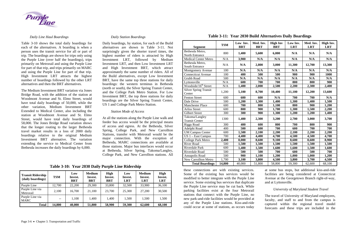

#### *Daily Line Haul Boardings*

<span id="page-7-0"></span>Table 3-10 shows the total daily boardings for each of the alternatives. A boarding is when a person uses the transit service for all or part of trip. The boardings are shown for trips only using the Purple Line (over half the boardings), trips primarily on Metrorail and using the Purple Line for part of that trip, and trips primarily on MARC and using the Purple Line for part of that trip. High Investment LRT attracts the highest number of boardings followed by the other LRT alternatives and then the BRT alternatives.

The Medium Investment BRT variation via Jones Bridge Road, with the addition of the station at Woodmont Avenue and St. Elmo Street, would have total daily boardings of 50,000, while the other variation, Medium Investment BRT Extended to Medical Center, also including the station at Woodmont Avenue and St. Elmo Street, would have total daily boardings of 58,000. The Jones Bridge Road variation shows that the longer routing to the larger Bethesda travel market results in a loss of 2000 daily boardings relative to the original Medium Investment BRT alternative. The variation extending the service to Medical Center from Bethesda increases the daily boardings by 6,000.

# *Daily Station Boardings*

Daily boardings, by station, for each of the Build alternatives are shown in [Table 3-](#page-7-0)11. Not surprisingly given the shorter travel times, the highest number of riders is attracted by High Investment LRT, followed by Medium Investment LRT, and then Low Investment LRT and High Investment BRT, which attract approximately the same number of riders. All of the Build alternatives, except Low Investment BRT, have the same top three stations for daily boardings: the western terminus in Bethesda (north or south), the Silver Spring Transit Center, and the College Park Metro Station. For Low Investment BRT, the top three stations for daily boardings are the Silver Spring Transit Center, US 1 and College Park Metro Station.

#### *Station Mode of Access*

At all the stations along the Purple Line walk and feeder bus access would be the principal means of access and egress. At the Bethesda, Silver Spring, College Park, and New Carrollton Stations, transfer with Metrorail would be the major connection. With the exception of Bethesda, MARC connections are available at those stations. Major bus interfaces would occur at Bethesda, Silver Spring, Takoma/Langley, College Park, and New Carrollton stations. All

| Table 3-11: Year 2030 Build Al |  |
|--------------------------------|--|
|                                |  |

these connections are with existing services. Some of the existing bus services would be modified to better integrate with the Purple Line service. Some existing bus services that duplicate the Purple Line service may be cut back. While parking facilities exist at the four Metrorail stations that connect with the Purple Line, no new park-and-ride facilities would be provided at any of the Purple Line stations. Kiss-and-ride could occur at some of stations, as occurs today at some bus stops, but additional kiss-and-ride facilities are being considered at Connecticut Avenue at the Georgetown Branch right-of-way, and at Lyttonsville.

## *University of Maryland Student Travel*

The travel of University of Maryland employees, faculty, and staff to and from the campus is captured within the regional travel model forecasts and these trips are included in the

# **Table 3-10: Year 2030 Daily Purple Line Ridership**

| <b>Transit Ridership</b><br>(daily boardings) | <b>TSM</b> | Low<br>Invest.<br>BRT | <b>Medium</b><br>Invest.<br><b>BRT</b> | <b>High</b><br>Invest.<br><b>BRT</b> | Low<br>Invest.<br><b>LRT</b> | <b>Medium</b><br>Invest.<br><b>LRT</b> | High<br>Invest.<br><b>LRT</b> |
|-----------------------------------------------|------------|-----------------------|----------------------------------------|--------------------------------------|------------------------------|----------------------------------------|-------------------------------|
| Purple Line                                   | 12,700     | 22,200                | 29,300                                 | 33,800                               | 32,500                       | 33,900                                 | 36,100                        |
| Purple Line via<br>Metrorail                  | 2,100      | 16,700                | 21,100                                 | 23,700                               | 25,300                       | 27,200                                 | 30,500                        |
| Purple Line via<br><b>MARC</b>                | $- -$      | 1,100                 | 1,400                                  | 1,400                                | 1,500                        | 1,500                                  | 1,500                         |
| <b>Total</b>                                  | 14,800     | 40,000                | 51,800                                 | 58,900                               | 59,300                       | 62,600                                 | 68,100                        |

**Table 3-11: Year 2030 Build Alternatives Daily Boardings**

|                                  |            | Low Inv.   | Med. Inv.  | <b>High Inv</b> | Low Inv.   | Med. Inv.  | High Inv.  |
|----------------------------------|------------|------------|------------|-----------------|------------|------------|------------|
| <b>Segment</b>                   | <b>TSM</b> | <b>BRT</b> | <b>BRT</b> | <b>BRT</b>      | <b>LRT</b> | <b>LRT</b> | <b>LRT</b> |
| Bethesda Metro,                  |            |            |            |                 |            |            |            |
| North Entrance                   | 800        | 1,400      | 5,600      | 6,000           | N/A        | N/A        | N/A        |
| <b>Medical Center Metro</b>      | N/A        | 3,900      | N/A        | N/A             | N/A        | N/A        | N/A        |
| Bethesda Metro,                  | N/A        | N/A        | 2,800      | 3,000           | 11,300     | 12,700     | 13,300     |
| <b>South Entrance</b>            |            |            |            |                 |            |            |            |
| Montgomery Avenue                | 100        | N/A        | N/A        | N/A             | N/A        | N/A        | N/A        |
| <b>Connecticut Avenue</b>        | 100        | 400        | 500        | 500             | 900        | 900        | 1000       |
| Grubb Road                       | 500        | N/A        | N/A        | N/A             | N/A        | N/A        | N/A        |
| Lyttonsville                     | N/A        | 600        | 700        | 700             | 800        | 800        | 900        |
| Woodside/16 <sup>th</sup> Street | N/A        | 1,400      | 2,000      | 2,500           | 2,200      | 2,300      | 2,400      |
| <b>Silver Spring Transit</b>     | 1,200      | 5,100      | 8,700      | 10,400          | 11,100     | 12,200     | 13,600     |
| Center                           |            |            |            |                 |            |            |            |
| <b>Fenton Street</b>             | 600        | 600        | 600        | N/A             | 700        | 700        | N/A        |
| Dale Drive                       | 500        | 1,200      | 1,300      | 1,400           | 1,300      | 1,400      | 1,500      |
| <b>Manchester Place</b>          | 600        | 700        | 800        | 1,100           | 800        | 900        | 1,200      |
| <b>Arliss Street</b>             | 600        | 800        | 900        | 1,700           | 1,300      | 1,500      | 2,200      |
| <b>Gilbert Street</b>            | 300        | 300        | 900        | 1,300           | 1,200      | 1,200      | 1,400      |
| Takoma/Langley                   | 1300       | 1,400      | 2,300      | 3,200           | 2,700      | 3,000      | 3,700      |
| <b>Transit Center</b>            |            |            |            |                 |            |            |            |
| <b>Riggs Road</b>                | 300        | 400        | 600        | 800             | 700        | 800        | 900        |
| Adelphi Road                     | 400        | 500        | 600        | 700             | 600        | 700        | 700        |
| <b>UM Campus Center</b>          | 600        | 1,500      | 2,100      | 2,200           | 2,100      | 2,200      | 2,200      |
| $US 1 - East Campus$             | 700        | 4,400      | 4,400      | 4,700           | 4,500      | 4,500      | 4,700      |
| <b>College Park Metro</b>        | 2,400      | 8,000      | 8,600      | 9,100           | 8,600      | 8,600      | 8,900      |
| <b>River Road</b>                | 500        | 1,500      | 1,500      | 1,500           | 1,500      | 1,500      | 1,500      |
| <b>Riverdale Park</b>            | 600        | 1,400      | 1,500      | 1,600           | 1,600      | 1,500      | 1,600      |
| Riverdale Road                   | 500        | 500        | 500        | 700             | 600        | 500        | 700        |
| Annapolis Road                   | 500        | 900        | 1,100      | 1,200           | 1,000      | 1,000      | 1,200      |
| <b>New Carrollton Metro</b>      | 1,700      | 3,100      | 3,800      | 4,500           | 3,800      | 3,700      | 4,500      |
| <b>Total Boardings</b>           | 14,800     | 40,000     | 51,800     | 58,800          | 59,300     | 62,600     | 68,100     |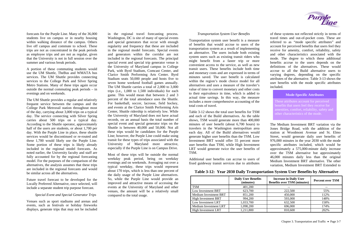forecasts for the Purple Line. Many of the 36,000 students live on campus or in nearby housing within walking distance of the campus. Others live off campus and commute to school. These trips are not as concentrated in the peak periods as employee trips and are not as regular, given that the University is not in full session over the summer and various break periods.

A portion of these commuting students would use the UM Shuttle, TheBus and WMATA bus services. The UM Shuttle provides connecting services to the College Park and Silver Spring Metro Stations. Many of these trips again occur outside the normal commuting peak periods – in evenings and on weekends.

> These attributes account for perceived benefits that users feel they receive for amenities, comfort, reliability, safety and other characteristics of the mode.

# **Mode-Specific Attributes**

The UM Shuttle provides a regular and relatively frequent service between the campus and the College Park Metrorail station throughout most of the day, carrying about 3,000 trips on a typical day. The service connecting with Silver Spring carries about 500 trips on a typical day. According to the Shuttle operator, approximately half of the users are students, or about 1,700 per day. With the Purple Line in place, these shuttle services would be discontinued or re-routed and these 1,700 would likely use the Purple Line. Some portion of these trips is likely already included in the regional model forecasts. As noted earlier, the University faculty and staff are fully accounted for by the regional forecasting model. For the purposes of the comparison of the alternatives, the analysis assumes that these trips are included in the regional forecasts and would be similar across all the alternatives.

Future travel forecast to be developed for the Locally Preferred Alternative, once selected, will include a separate student trip purpose forecast.

# *Special Event and Special Generator Trips*

Venues such as sport stadiums and arenas and events, such as festivals or holiday fireworks displays, generate trips that may not be included in the regional travel forecasting process. Washington, DC is site of many of special events and special generators that occur with enough regularity and frequency that these are included in the regional model forecasts. Special events and generators within the corridor are not included in the regional forecasts. The principal special event and special trip generator venue is the University of Maryland campus in College Park, with Byrd Stadium, Comcast Center, and Clarice Smith Performing Arts Center. Byrd Stadium seats 50,000 people and hosts five to seven home weekend football games annually. The UM Shuttle carries a total of 2,000 to 3,000 trips (i.e., 1,000 to 1,500 individuals) for each game. This would mean that between 2 and 3 percent of the total attendance uses the Shuttle. For basketball, soccer, lacrosse, field hockey, and events at the Clarice Smith Performing Arts Center, Shuttle ridership is relatively low. While the University of Maryland does not have actual records, on an annual basis the total number of special event and special generator trips on the Shuttle is between 40,000 and 50,000. Not all these trips would be candidates for the Purple Line; however, the Purple Line could make using transit for these types of trips associated with the University of Maryland more attractive, especially if the Purple Line is on Campus Drive.

Most of these trips will be outside the normal weekday peak period, being on weekday evenings and on weekends. Averaging out over a typical weekday, these trips would represent about 170 trips, which is less than one percent of the daily usage of the Purple Line alternatives. So, while the Purple Line would provide an improved and attractive means of accessing the events at the University of Maryland and other venues, the amount will be a relatively small compared to the total usage.

## *Transportation System User Benefits*

Transportation system user benefit is a measure of benefits that would accrue to users of the transportation system as a result of implementing an alternative. The users include both existing system users such as existing transit riders who might benefit from a faster trip or more convenient access to the service, as well as new transit users. These benefits include both time and monetary costs and are expressed in terms of minutes saved. The user benefit is calculated within the region's mode choice model for all alternatives and uses a measure of the traveler's value of time to convert monetary and other costs to their equivalence in time, which is added to actual time savings. In this way, the measure includes a more comprehensive accounting of the total costs of travel.

Table 3-12 shows the total user benefits for TSM and each of the Build alternatives. As the table shows, TSM would generate more than 400,000 minutes of user benefit (about 6,700 hours) to travelers in the Washington metropolitan area each day. All of the Build alternatives would generate higher user benefits than the TSM. Low Investment BRT would offer 55 percent more user benefits than TSM, while High Investment LRT would generate twice the user benefits of TSM.

Additional user benefits can accrue to users of fixed guideway transit services due to attributes

of these systems not reflected strictly in terms of travel times and out-of-pocket costs. These are referred to as "mode specific attributes" and account for perceived benefits that users feel they receive for amenity, comfort, reliability, safety and other characteristics associated with the mode. The degree to which these additional benefits accrue to the users depends on the definitions of the alternatives. These would accrue to all the Build alternative users to varying degrees, depending on the specific attributes of the alternative. Table 3-13 shows the user benefits with the mode specific attributes included.

The Medium Investment BRT variation via the Jones Bridge Road, with the addition of the station at Woodmont Avenue and St. Elmo Street, would generate daily user benefits of 976,000 minutes in the year 2030 with the mode specific attributes included, which would be approximately a 575,000-minute daily increase over the TSM alternative but approximately 46,000 minutes daily less than the original Medium Investment BRT alternative. The other variation, Medium Investment BRT Extended to

**Table 3-12: Year 2030 Daily Transportation System User Benefits by Alternative** 

|                            | <b>Daily User Benefits</b><br>(minutes) | <b>Increase in Daily User</b><br><b>Benefits over TSM (minutes)</b> | <b>Percent over TSM</b> |
|----------------------------|-----------------------------------------|---------------------------------------------------------------------|-------------------------|
| <b>TSM</b>                 | 401,200                                 | --                                                                  |                         |
| Low Investment BRT         | 623,700                                 | 222,500                                                             | 55%                     |
| Medium Investment BRT      | 851,200                                 | 450,000                                                             | 112%                    |
| <b>High Investment BRT</b> | 994,200                                 | 593,000                                                             | 148%                    |
| Low Investment LRT         | 1,033,700                               | 632,500                                                             | 158%                    |
| Medium Investment LRT      | 1,098,200                               | 696,000                                                             | 174%                    |
| <b>High Investment LRT</b> | 1,211,800                               | 810,600                                                             | 202%                    |

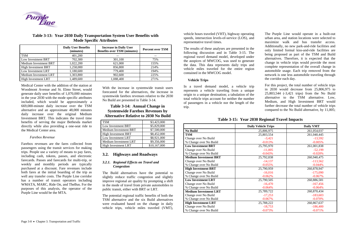Medical Center with the addition of the station at Woodmont Avenue and St. Elmo Street, would generate daily user benefits of 1,070,000 minutes in the year 2030 with the mode specific attributes included, which would be approximately a 669,000-minute daily increase over the TSM alternative and an approximate 48,000 minutes daily increase over the original Medium Investment BRT. This indicates the travel time benefits of serving the major Bethesda market directly while also providing a one-seat ride to the Medical Center area.

#### *Farebox Revenue*

Farebox revenues are the fares collected from passengers using the transit services for making trips. People use a variety of means to pay fares, including cash, tokens, passes, and electronic farecards. Passes and farecards for multi-trip, or weekly and monthly periods are typically purchased at a discount. Fare revenues include both fares at the initial boarding of the trip as well any transfer costs. The Purple Line corridor has a number of transit operators including WMATA, MARC, Ride On, and TheBus. For the purposes of this analysis, the operator of the Purple Line would be the MTA.

With the increase in systemwide transit users forecasted for the alternatives, the increase in systemwide farebox revenues relative to the 2030 No Build are presented in Table 3-14.

# **Table 3-14: Annual Change in Systemwide Farebox Revenues by Alternative Relative to 2030 No Build**

| <b>TSM</b>                   | \$3,423,000  |
|------------------------------|--------------|
| Low Investment BRT           | \$5,829,000  |
| <b>Medium Investment BRT</b> | \$7,500,000  |
| <b>High Investment BRT</b>   | \$8,452,000  |
| Low Investment LRT           | \$8,921,000  |
| Medium Investment LRT        | \$9,356,000  |
| <b>High Investment LRT</b>   | \$10,167,000 |

# **3.2. Highways and Roadways**

# *3.2.1. Regional Effects on Travel and Congestion*

The Build alternatives have the potential to slightly reduce traffic congestion and slightly improve regional air quality by prompting a shift in the mode of travel from private automobiles to public transit, either with BRT or LRT.

The potential regional traffic benefits of both the TSM alternative and the six Build alternatives were evaluated based on the change in daily vehicle trips, vehicle miles traveled (VMT),

vehicle hours traveled (VHT), highway operating speeds, intersection levels-of-service (LOS), and representative travel times.

The results of these analyses are presented in the following discussion and in Table 3-15. The regional travel demand model, developed under the auspices of MWCOG, was used to generate the data. This data represents daily trips and vehicle miles traveled for the entire region contained in the MWCOG model.

# **Vehicle Trips**

In a travel demand model, a vehicle trip represents a vehicle traveling from a unique origin to a unique destination; a tabulation of the total vehicle trips account for neither the number of passengers in a vehicle nor the length of the trip.

The Purple Line would operate in a built-out urban area, and station locations were selected to maximize walk and bus transfer access. Additionally, no new park-and-ride facilities and only limited formal kiss-and-ride facilities are being proposed as part of the TSM and Build alternatives. Therefore, it is expected that the change in vehicle trips would provide the most complete representation of the overall change in automobile usage. Each trip removed from the network is one less automobile traveling through the corridor each day.

For this project, the total number of vehicle trips in 2030 would decrease from 25,806,975 to 25,803,544 (-3,421 trips) from the No Build alternative to the TSM alternative. Low, Medium, and High Investment BRT would further decrease the total number of vehicle trips compared to the No Build alternative, by 11,005;

# **Table 3-15: Year 2030 Regional Travel Impacts**

|                              | <b>Daily Vehicle Trips</b> | <b>Daily VMT</b> |
|------------------------------|----------------------------|------------------|
| <b>No Build</b>              | 25,806,975                 | 261,054,037      |
| <b>TSM</b>                   | 25,803,554                 | 261,040,445      |
| Change over No Build         | $-3,421$                   | $-13,592$        |
| % Change over No Build       | $-0.013%$                  | $-0.005%$        |
| <b>Low Investment BRT</b>    | 25,795,970                 | 261,001,838      |
| Change over No Build         | $-11,005$                  | $-52,199$        |
| % Change over No Build       | $-0.043%$                  | $-0.020%$        |
| <b>Medium Investment BRT</b> | 25,792,838                 | 260,940,475      |
| Change over No Build         | $-14,137$                  | $-113,562$       |
| % Change over No Build       | $-0.055%$                  | $-0.044%$        |
| <b>High Investment BRT</b>   | 25,790,959                 | 260,878,947      |
| Change over No Build         | $-16,016$                  | $-175,090$       |
| % Change over No Build       | $-0.062%$                  | $-0.067%$        |
| <b>Low Investment LRT</b>    | 25,790,505                 | 260,886,581      |
| Change over No Build         | $-16,470$                  | $-167,456$       |
| % Change over No Build       | $-0.064%$                  | $-0.064%$        |
| <b>Medium Investment LRT</b> | 25,789,722                 | 260,870,434      |
| Change over No Build         | $-17,253$                  | $-183,603$       |
| % Change over No Build       | $-0.067%$                  | $-0.070%$        |
| <b>High Investment LRT</b>   | 25,788,222                 | 260,867,637      |
| Change over No Build         | $-18,753$                  | $-186,400$       |
| % Change over No Build       | $-0.073%$                  | $-0.071%$        |

# **Table 3-13: Year 2030 Daily Transportation System User Benefits with Mode Specific Attributes**



|                              | <b>Daily User Benefits</b><br>(minutes) | <b>Increase in Daily User</b><br><b>Benefits over TSM (minutes)</b> | <b>Percent over TSM</b> |
|------------------------------|-----------------------------------------|---------------------------------------------------------------------|-------------------------|
| <b>TSM</b>                   | 401,200                                 |                                                                     |                         |
| Low Investment BRT           | 702,300                                 | 301,100                                                             | 75%                     |
| <b>Medium Investment BRT</b> | 1,022,200                               | 621,000                                                             | 155%                    |
| <b>High Investment BRT</b>   | 1,258,000                               | 856,800                                                             | 214%                    |
| Low Investment LRT           | 1,180,600                               | 779,400                                                             | 194%                    |
| Medium Investment LRT        | 1,303,800                               | 902,600                                                             | 225%                    |
| <b>High Investment LRT</b>   | 1,489,600                               | 1,088,400                                                           | 271%                    |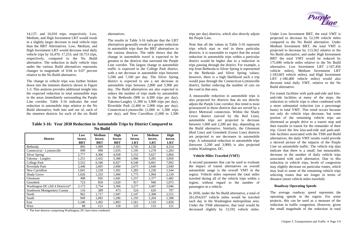14,137; and 16,016 trips, respectively. Low, Medium, and High Investment LRT would result in a slightly larger decrease in total vehicle trips than the BRT Alternatives. Low, Medium, and High Investment LRT would decrease total daily vehicle trips by 16,470; 17,253; and 18,753 trips, respectively, compared to the No Build alternative. The reduction in daily vehicle trips under the various Build alternatives represents changes in magnitude of 0.04 to 0.07 percent relative to the No Build alternative.

The change in vehicle trips was further broken down into the nineteen districts shown in Figure 1-3. This analysis provides additional insight into the expected reduction in total automobile trips in the areas immediately surrounding the Purple Line corridor. Table 3-16 indicates the total reduction in automobile trips relative to the No Build alternative, both into and out of, each of the nineteen districts for each of the six Build

alternatives.

The results in Table 3-16 indicate that the LRT alternatives generally result in a greater reduction in automobile trips than the BRT alternatives in the various districts. The table shows that the change in automobile travel is expected to be greatest in the districts that surround the Purple Line corridor. The largest change in automobile traffic is expected in the College Park district, with a net decrease in automobile trips between 5,500 and 7,100 per day. The Silver Spring district is expected to see a net decrease in automobile trips between 2,800 and 5,900 per day. The Build alternatives are also expected to reduce the number of trips made by automobile in the Bethesda (900 to 4,300 trips per day), Takoma-Langley (1,300 to 3,900 trips per day), Riverdale Park (2,400 to 2,900 trips per day), Connecticut-Lyttonsville (1,000 to 1,300 trips per day), and New Carrollton (1,000 to 1,500

trips per day) districts, which also directly adjoin the Purple Line.

Note that all the values in Table 3-16 represent trips which start or end in these particular districts; it is reasonable to expect that the actual reduction in automobile trips within a particular district would be higher due to a reduction in trips passing through the district. For example, a trip from Bethesda to Silver Spring is represented in the Bethesda and Silver Spring values; however, there is a high likelihood such a trip would pass through the Connecticut-Lyttonsville district, further reducing the number of cars on the road in that area.

A measurable reduction in automobile trips is also projected for districts that do not directly adjoin the Purple Line corridor; this trend is most pronounced in those districts that are served by a direct Metrorail connection. Within the Shady Grove district (served by the Red Line), automobile trips are projected to decrease between 1,000 and 2,200 per day, depending on the Build alternative. Similarly, the Glenmont (Red Line) and Greenbelt (Green Line) districts are projected to see decreases in automobile trips. A substantial reduction in automobile trips (between 2,200 and 3,900) is also projected within Washington, DC.

#### **District Low Invest. BRT Medium Invest. BRT High Invest. BRT Low Invest. LRT Medium Invest. LRT High Invest. LRT** Bethesda 892 1,989 2,165 3,745 4,150 4,314 Connecticut - Lyttonsville 999 998 1,035 1,195 1,278 1,283 Silver Spring 2,777 4,306 4,938 5,152 5,627 5,864 Takoma - Langley 1,251 2,432 3,388 2,986 3,285 3,850 College Park 1 5,522 6,346 6,927 6,540 6,601 7,092 Riverdale Park 1 2,446 2,605 2,890 2,675 2,640 2,949 New Carrollton 1,041 1,218 1,501 1,283 1,236 1,544 Shady Grove 1,026 | 1,333 | 1,494 | 1,775 | 1,994 | 2,150 Glenmont 1,482 | 498 | 926 | 1,041 | 1,257 | 1,377 | 1,482 Greenbelt 1,023 | 859 | 1,020 | 917 | 940 | 1,075 Washington DC (All 4 Districts)\* 2,172 2,754 3,306 3,277 3,447 3,946 Southwest Montgomery County | 116 | 389 | 473 | 524 | 620 | 707 North 1,717 | 1,947 | 2,147 | 2,308 | 2,515 South 1,193 | 1,083 | 1,206 | 1,193 | 1,204 | 1,308 East 1,240 | 1,492 | 1,803 | 1,561 | 1,510 | 1,850

West 1 128 121 150 125 133 151

#### **Vehicle Miles Traveled (VMT)**

A second parameter that can be used to evaluate the impact of transit alternatives on overall automobile usage is the overall VMT in the region. Vehicle miles represent the total miles traveled during all of the vehicle trips within a region, without regard to the number of passengers in a vehicle.

In 2030, under the No Build alternative, a total of 261,054,037 vehicle miles would be traveled each day in the Washington metropolitan area. Under the TSM alternative, that total would be decreased slightly by 13,592 vehicle miles.

**Purple**<br>
Line

Under Low Investment BRT, the total VMT is projected to decrease by 52,199 vehicle miles compared to the No Build alternative. Under Medium Investment BRT, the total VMT is projected to decrease by 113,562 relative to the No Build alternative, and under High Investment BRT the total VMT would be reduced by 175,090 vehicle miles relative to the No Build alternative. Low Investment LRT (-167,456 vehicle miles), Medium Investment LRT (-183,603 vehicle miles), and High Investment LRT (-186,400 vehicle miles) would also decrease total daily VMT, relative to the No Build alternative.

For transit facilities with park-and-ride and kissand-ride facilities at many of the stops, the reduction in vehicle trips is often combined with a more substantial reduction (on a percentage basis) in total VMT. This trend occurs because not only do vehicle trips decrease, but some portion of the remaining vehicle trips are shortened as people drive to a transit stop and then transfer to transit for the remainder of their trip. Given the few kiss-and-ride and park-andride facilities associated with the TSM and Build alternatives, the daily VMT results could provide a skewed picture of the impacts of the Purple Line on automobile traffic. The vehicle trip data indicate that there is a small, but measurable, decrease in the number of daily vehicle trips associated with each alternative. Due to this reduction in vehicle trips, levels of congestion may slightly decrease on particular routes, which may lead to some of the remaining vehicle trips selecting routes that are longer in terms of distance (more vehicle miles traveled).

# **Roadway Operating Speeds**

The average roadway speed represents the operating speeds in the region. For some projects, this can be used as a measure of the reduction in traffic congestion. However, given the small magnitude of the reduction in total

**Table 3-16: Year 2030 Reduction in Automobile Trips by District Compared to No Build**

\* The four districts comprising Washington, DC have been combined.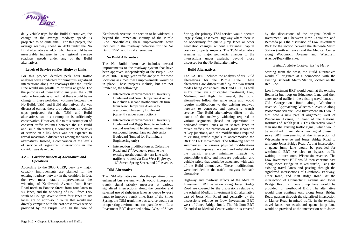

daily vehicle trips for the Build alternatives, the change in the average roadway speeds is projected to be quite small. For this project, the average roadway speed in 2030 under the No Build alternative is 24.5 mph. There would be no measurable increase in the regional average roadway speeds under any of the Build alternatives.

# **Levels of Service on Key Highway Links**

For this project, detailed peak hour traffic analyses were conducted for numerous signalized intersections along the roadways that the Purple Line would run parallel to or cross at grade. For the purposes of these traffic analyses, the 2030 volume forecasts assumed that there would be no change in these peak-hour volumes between the No Build, TSM, and Build alternatives. As was discussed earlier, there are reductions in vehicle trips projected for the TSM and Build alternatives, so this assumption is sufficiently conservative. However, due to this assumption of constant traffic volumes between the No Build and Build alternatives, a comparison of the level of service on a link basis was not expected to reveal measurable differences among the various alternatives. Instead, a comparison of the levels of service of signalized intersections in the corridor was developed.

# *3.2.2. Corridor Impacts of Alternatives and Operations*

According to the 2030 CLRP, very few major capacity improvements are planned for the existing roadway network in the corridor. In fact, the two most notable improvements: the widening of Kenilworth Avenue from River Road north to Pontiac Street from four lanes to six lanes, and the widening of US 1 from I-95 south to College Avenue from four lanes to six lanes, are on north-south routes that would not directly compete with the east-west travel service provided by the Purple Line. In the case of

Kenilworth Avenue, the section to be widened is beyond the immediate vicinity of the Purple Line. Nonetheless, these improvements were included in the roadway networks for the No Build, TSM, and Build alternatives.

# **No Build Alternative**

The No Build alternative includes several improvements to the roadway system that have been approved independently of the Purple Line as of 2007. Design year traffic analyses for these locations assumed these improvements would be in place. These projects include, but are not limited to, the following:

- Intersection improvements at University Boulevard and New Hampshire Avenue to include a second northbound left turn from New Hampshire Avenue to westbound University Boulevard (currently under construction)
- Intersection improvements at University Boulevard and Riggs Road to include a second westbound left-turn lane and third eastbound through lane on University Boulevard (funded for Preliminary Engineering only)
- Intersection modifications at Colesville Road and  $2<sup>nd</sup>$  Avenue to remove the existing northbound left-turn lane with traffic re-routed via East West Highway,  $16<sup>th</sup>$  Street, Spring Street, and  $2<sup>nd</sup>$  Avenue.

# **TSM Alternative**

The TSM alternative includes the operation of an enhanced bus system, which would incorporate transit signal priority measures at various signalized intersections along the corridor and selected use of right-turn lanes as queue by-pass lanes to improve transit time. East of the Silver Spring, the TSM trunk line bus service would run in operating environments comparable with Low Investment BRT described below. West of Silver Spring, the primary TSM service would operate largely along East West Highway where there is no opportunity for queue jump lanes or other geometric changes without substantial capital costs or property impacts. The TSM alternative assumes no major geometric changes to the intersections under analysis, beyond those discussed for the No Build alternative.

# **Build Alternatives**

The AA/DEIS includes the analysis of six Build alternatives for the Purple Line. These alternatives are differentiated by the two transit modes being considered, BRT and LRT, as well as by three levels of capital investment, Low, Medium, and High. In general, the Build alternatives follow the same route and would require modifications to the existing roadway network to construct and operate a transit service. The Build alternatives differ in the extent of the roadway widening required in various segments (based on operations in dedicated transit lanes or in shared lanes in mixed traffic), the provision of grade separation at key junctions, and the modifications required to existing traffic signals to accommodate the BRT or LRT movements. The following section summarizes the various physical modifications intended to improve the speed and reliability of the transit service, minimize impacts to automobile traffic, and increase pedestrian and vehicle safety that would be associated with each of the Build alternatives. These modifications were included in the traffic analyses for each alternative.

Highway and roadway effects of the Medium Investment BRT variation along Jones Bridge Road are covered by the discussions relative to the original Medium Investment BRT alternative east of Jones Mill Road and generally by the discussions relative to Low Investment BRT west of Jones Bridge Road. The Medium BRT Extended to Medical Center variation is covered

by the discussions of the original Medium Investment BRT between New Carrollton and Bethesda plus the discussion of Low Investment BRT for the section between the Bethesda Metro Station (north entrance) and the Medical Center along Woodmont Avenue and Wisconsin Avenue/Rockville Pike.

#### *Bethesda Metro to Silver Spring Metro*

Starting from the west, the Build alternatives would all originate at a connection with the existing Bethesda Metro Station, located on the Red Line.

Low Investment BRT would begin at the existing Bethesda bus loop on Edgemoor Lane and then enter mixed traffic in the existing travel lanes on Old Georgetown Road along Woodmont Avenue. Approaching Wisconsin Avenue along Woodmont Avenue, Low Investment BRT would turn onto a new parallel alignment, west of Wisconsin Avenue, in front of the National Institutes of Health (NIH). This alternative would then use the existing traffic signal, which would be modified to include a new signal phase to serve BRT movements, at the intersection of Wisconsin Avenue and Jones Bridge Road to turn onto Jones Bridge Road. At that intersection, a queue jump lane would be provided for westbound BRT vehicles to bypass traffic waiting to turn onto Wisconsin Avenue. The Low Investment BRT would then continue east along Jones Bridge in mixed traffic, using the existing travel lanes and passing through the signalized intersections of Glenbrook Parkway, Grier Road, and Platt Ridge Road. At the intersection of Connecticut Avenue and Jones Bridge Road, a queue jump lane would be provided for westbound BRT. The alternative would then continue east along Jones Bridge Road, passing through the signalized intersection at Manor Road in mixed traffic in the existing travel lanes. An eastbound queue jump lane would be provided at the intersection with Jones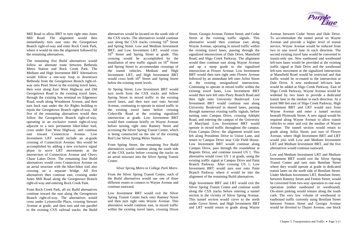Mill Road to allow BRT to turn right onto Jones Mill Road. The alignment would then immediately turn east onto the Georgetown Branch right-of-way and enter Rock Creek Park, where it would tie into the alignment followed by the remaining alternatives.

The remaining five Build alternatives would follow an alternate route between Bethesda Metro Station and Rock Creek Park. The Medium and High Investment BRT Alternatives would follow a one-way loop in downtown Bethesda from the Georgetown Branch right-ofway onto Pearl Street in the existing travel lanes, then west along East West Highway and Old Georgetown Road in the existing travel lanes, through the existing bus terminal on Edgemoor Road, south along Woodmont Avenue, and then turn back east under the Air Rights building to rejoin the Georgetown Branch right-of-way. All five of the remaining alternatives would then follow the Georgetown Branch right-of-way, operating in an exclusive transit right-of-way adjacent to a new permanent hiker-biker trail, cross under East West Highway, and continue east toward Connecticut Avenue. Low Investment LRT would include an at-grade crossing of Connecticut Avenue; this would be accomplished by adding a new exclusive signal phase to serve LRT movements at the intersection of Connecticut Avenue and Chevy Chase Lakes Drive. The remaining four Build alternatives would cross Connecticut Avenue on an aerial structure with the hiker-biker trail also crossing on a separate bridge. All five alternatives then continue east, crossing under Jones Mill Road along the Georgetown Branch right-of-way and entering Rock Creek Park.

From Rock Creek Park, all six Build alternatives continue toward the east along the Georgetown Branch right-of-way. The alternatives would cross under Lyttonsville Place, crossing Stewart Avenue at grade, and then turn and run parallel to the existing CSX railroad tracks; the Build

alternatives would be located on the south side of the CSX tracks. The alternatives would continue east along the CSX tracks crossing  $16<sup>th</sup>$  Street and Spring Street. Low and Medium Investment BRT, and Low Investment LRT, would cross 16<sup>th</sup> Street and Spring Street at grade. This crossing would be accomplished by the installation of new traffic signals on  $16<sup>th</sup>$  Street and Spring Street to accommodate crossings of the transit vehicles. Medium and High Investment LRT, and High Investment BRT would cross both  $16<sup>th</sup>$  Street and Spring Street below the existing street levels.

At Spring Street, Low Investment BRT would turn north from the CSX tracks and follow Spring Street in mixed traffic in the existing travel lanes, and then turn east onto Second Avenue, continuing to operate in mixed traffic in the existing travel lanes before crossing Colesville Road at the existing signalized intersection at grade. Low Investment BRT would then continue briefly on Wayne Avenue before turning right onto Ramsey Street and accessing the Silver Spring Transit Center, which is being constructed on the site of the existing Red Line Silver Spring Metro Station.

From Spring Street, the remaining five Build alternatives would continue along the south side of the CSX tracks before crossing the tracks on an aerial structure into the Silver Spring Transit Center.

# *Silver Spring Metro to College Park Metro*

From the Silver Spring Transit Center, each of the Build alternatives would use one of three different routes to connect to Wayne Avenue and continue eastward.

Low Investment BRT would exit the Silver Spring Transit Center back onto Ramsey Street and then turn right onto Wayne Avenue. This alternative would continue east, in mixed traffic within the existing travel lanes, crossing Dixon

Street, Georgia Avenue, Fenton Street, and Cedar Street at the existing traffic signals. This alternative would then continue east along Wayne Avenue, operating in mixed traffic within the existing travel lanes, passing through the signalized intersections of Dale Drive, Mansfield Road, and Sligo Creek Parkway. The alignment would then continue east along Wayne Avenue and up a steep grade to the signalized intersection at Flower Avenue. Low Investment BRT would then turn right onto Flower Avenue followed by an immediate left onto Arliss Street at the existing unsignalized intersection. Continuing to operate in mixed traffic within the existing travel lanes, Low Investment BRT would then turn left onto Piney Branch Road and then right onto University Boulevard. Low Investment BRT would continue east along University Boulevard in shared lanes, passing through numerous existing traffic signals, before turning onto Campus Drive, crossing Adelphi Road, and entering the campus of the University of Maryland. Low Investment BRT would operate in mixed traffic throughout the campus. From Campus Drive, the alignment would turn left along Presidents Drive to Union Lane, and return to Campus Drive near Cole Field House. Low Investment BRT would continue along Campus Drive, pass through the roundabout at Regents Drive, and continue toward US 1. This alternative would cross US 1 at grade, using the existing traffic signal at Campus Drive and Paint Branch Parkway. After crossing US 1, Low Investment BRT would turn east onto Paint Branch Parkway where it would tie into the alignment of the remaining Build alternatives.

High Investment BRT and LRT would exit the Silver Spring Transit Center and continue south along the CSX tracks before entering a tunnel section in the vicinity of Silver Spring Avenue. This tunnel section would curve to the north under Grove Street, and High Investment BRT and LRT would return to grade along Wayne



Avenue between Cedar Street and Dale Drive. To accommodate the tunnel portal on Wayne Avenue and provide a higher level of transit service, Wayne Avenue would be reduced from two to one travel lane in each direction. The second existing travel lane would be converted to transit-only use. New eastbound and westbound left-turn lanes would be provided at the existing traffic signal at Dale Drive and the westbound left-turn movement at the signalized intersection at Mansfield Road would be restricted and that traffic would be re-routed to the intersection at Dale Drive. A new eastbound left-turn lane would be added at Sligo Creek Parkway. East of Sligo Creek Parkway, Wayne Avenue would be widened by two lanes to provide a dedicated transit lane in the median in each direction. At a point 900 feet east of Sligo Creek Parkway, High Investment BRT and LRT would turn from Wayne Avenue and enter a tunnel section beneath Plymouth Street. A new signal would be required along Wayne Avenue to allow transit vehicles to enter and exit the median of Wayne Avenue. The tunnel section would return to grade along Arliss Street, just east of Flower Avenue, where High Investment BRT and LRT would join with Low and Medium Investment LRT and Medium Investment BRT, and the five alternatives would continue eastward.

Low and Medium Investment LRT and Medium Investment BRT would exit the Silver Spring Transit Center and turn onto Bonifant Street where they would operate at grade in dedicated transit lanes on the north side of Bonifant Street. Under Medium Investment LRT, Bonifant Street, between Ramsey Street and Fenton Street, would be converted from two-way operation to one-way operation (either eastbound or westbound). On-street parking would remain along the south curb. The very low volume of westbound or eastbound traffic currently using Bonifant Street between Fenton Street and Georgia Avenue would be diverted to Thayer Avenue, one block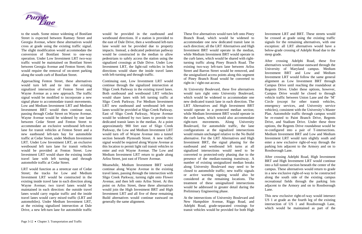

to the south. Some minor widening of Bonifant Street is expected between Ramsey Street and Georgia Avenue, where these alternatives would cross at grade using the existing traffic signal. The slight modification would accommodate the conversion of Bonifant Street to one-way operation. Under Low Investment LRT two-way traffic would be maintained on Bonifant Street between Georgia Avenue and Fenton Street; this would require the removal of on-street parking along the south curb of Bonifant Street.

Approaching Fenton Street, these alternatives would turn left and tie into the existing signalized intersection of Fenton Street and Wayne Avenue as a new approach. The traffic signal would be modified to incorporate a new signal phase to accommodate transit movements. Low and Medium Investment LRT and Medium Investment BRT would then continue east, passing through Cedar Street on Wayne Avenue. Wayne Avenue would be widened by one lane between Cedar Street and Fenton Street to accommodate an exclusive westbound left-turn lane for transit vehicles at Fenton Street and a new eastbound left-turn bay for automobile traffic at Cedar Street, under Medium Investment LRT. Under Low Investment LRT, an exclusive westbound left turn lane for transit vehicles would be provided at Fenton Street. Low Investment LRT would share the existing inside travel lane with left turning and through automobile traffic at Cedar Street.

LRT would function as a streetcar east of Cedar Street; the tracks for Low and Medium Investment LRT would be constructed in the existing inside travel lane in each direction along Wayne Avenue; two travel lanes would be maintained in each direction: the outside travel lanes would carry regular traffic and the inside travel lanes would carry mixed traffic (LRT and automobiles). Under Medium Investment LRT, at the existing signalized intersection at Dale Drive, a new left-turn lane for automobile traffic

would be provided in the eastbound and westbound directions. If a station is provided to the east of Dale Drive, then a westbound left-turn lane would not be provided due to property impacts. Instead, a dedicated pedestrian pathway would be constructed in the median to allow pedestrians to safely access the station using the signalized crossings at Dale Drive. Under Low Investment LRT, the light-rail vehicles in both directions would share the inside travel lanes with left-turning and through traffic.

Continuing east, Low Investment LRT would continue through the signalized intersection at Sligo Creek Parkway in the existing travel lanes. Both eastbound and westbound LRT vehicles would share lanes with left turning traffic at Sligo Creek Parkway. For Medium Investment LRT new eastbound and westbound left turn lanes would be provided at Sligo Creek Parkway. East of Sligo Creek Parkway, Wayne Avenue would be widened by two lanes to provide two dedicated transit lanes in the median. At a point approximately 900 feet east of Sligo Creek Parkway, the Low and Medium Investment LRT would turn off of Wayne Avenue into a tunnel section beneath Plymouth Street. A new traffic signal would be required along Wayne Avenue at this location to permit light rail transit vehicles to enter and exit Wayne Avenue. The Low and Medium Investment LRT return to grade along Arliss Street, just east of Flower Avenue.

Meanwhile, Medium Investment BRT would continue along Wayne Avenue in the existing travel lanes, passing through the intersection with Sligo Creek Parkway, turning right onto Flower Avenue, and then left onto Arliss Street. At this point on Arliss Street, these three alternatives would join the High Investment BRT and High Investment LRT and all five of these remaining Build alternatives would continue eastward on generally the same alignment.

These five alternatives would turn left onto Piney Branch Road, which would be widened to accommodate one new dedicated transit lane in each direction; all the LRT Alternatives and High Investment BRT would operate in the median, while Medium Investment BRT would operate in the curb lanes, which would be shared with rightturning traffic along Piney Branch Road. The existing two-way left-turn lane between Arliss Street and Barron Street would be removed, and the unsignalized access points along this segment of Piney Branch Road would be converted to right-in / right-out access.

At University Boulevard, these five alternatives would turn right onto University Boulevard, which would be widened to accommodate one new dedicated transit lane in each direction. The LRT Alternatives and High Investment BRT would operate in a protected median section; while Medium Investment BRT would operate in the curb lanes, which would also accommodate right-turn movements. Along University Boulevard, for automobile traffic, the lane configurations at the signalized intersections would remain unchanged relative to the No Build alternative. For the LRT Alternatives and High Investment BRT, the signal phasing for the eastbound and westbound left turns at all signalized intersections would need to be converted to protected-only phasing due to the presence of the median-running transitway. A number of existing unsignalized median breaks along University Boulevard may need to be closed to automobile traffic; new traffic signals or active warning signing would also be considered at the remaining locations. The treatment of these unsignalized intersections would be addressed in greater detail during the Preliminary Engineering phase.

At the intersections of University Boulevard and New Hampshire Avenue, Riggs Road, and Adelphi Road, grade-separated crossings for transit vehicles would be provided for both High Investment LRT and BRT. These streets would be crossed at grade using the existing traffic signals for the remaining alternatives, with one exception: all LRT alternatives would have a below-grade crossing of Adelphi Road due to the steep grade.

After crossing Adelphi Road, these five alternatives would continue eastward through the University of Maryland campus. Medium Investment BRT and Low and Medium Investment LRT would follow the same general alignment as Low Investment BRT through Campus Drive until reaching the roundabout at Regents Drive. Under these options, however, Campus Drive would be closed to through vehicle traffic between Union Lane and the 'M' Circle (except for other transit vehicles, emergency services, and University service vehicles), consistent with the University's Master Plan. Automobile traffic through campus would be re-routed to Paint Branch Drive, Regents Drive, and Stadium Drive. Under these three options, the Regents Drive roundabout would be re-configured into a pair of T-intersections. Medium Investment BRT and Low and Medium Investment LRT would turn slightly south and enter a new exclusive right-of-way through the parking lots adjacent to the Armory and on to Rossborough Lane.

After crossing Adelphi Road, High Investment BRT and High Investment LRT would continue into a full tunnel section beneath the center of the campus. These alternatives would return to grade in a new exclusive right-of-way to be constructed along the south side of the existing campus recreational fields through the parking lots adjacent to the Armory and on to Rossborough Lane.

This new exclusive right-of-way would intersect US 1 at grade as the fourth leg of the existing intersection of US 1 and Rossborough Lane, which would be maintained as part of the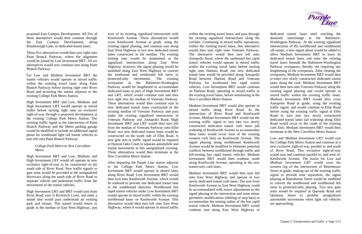proposed East Campus Development. All five of these alternatives would then continue through the East Campus Development, along Rossborough Lane, in dedicated transit lanes.

These five alternatives would then turn right onto Paint Branch Parkway, where the alignment would be joined by Low Investment BRT. All six alternatives would now continue east along Paint Branch Parkway.

For Low and Medium Investment BRT the transit vehicles would operate in mixed traffic within the existing travel lanes along Paint Branch Parkway before turning right onto River Road and accessing the station adjacent to the existing College Park Metro Station.

High Investment BRT and Low, Medium, and High Investment LRT would operate in mixed traffic before turning right onto an exclusive right-of-way through a proposed development at the existing College Park Metro Station. The existing traffic signal at the intersection of Paint Branch Parkway and the Metro parking garage would be modified to include an additional signal phase for westbound light rail transit vehicles to turn left onto Paint Branch Parkway.

# *College Park Metro to New Carrollton Metro*

High Investment BRT and Low, Medium, and High Investment LRT would all operate in new exclusive right-of-way to be constructed on the south side of River Road. New traffic signals or gate arms would be provided at the unsignalized driveways along the south side of River Road to separate vehicle and pedestrian traffic from the movements of the transit vehicles.

High Investment LRT and BRT would turn from River Road, east of Rivertech Court, and enter a tunnel that would pass underneath an existing park and stream. This tunnel would return to grade in the median of East West Highway, just west of its existing signalized intersection with Kenilworth Avenue. These alternatives would cross Kenilworth Avenue at grade, using the existing signal phasing, and continue east along East West Highway in two new dedicated transit lanes constructed in the median. The existing turning lane would be maintained at the signalized intersections along East West Highway; however, the signal phasing would be modified along East West Highway to convert the eastbound and westbound left turns to protected-only movements. The existing overpasses at the Baltimore-Washington Parkway would be lengthened to accommodate dedicated lanes as part of High Investment BRT and LRT, which would continue east and then turn right into the median of Veterans Parkway. These alternatives would then continue east in new dedicated transit lanes constructed in the existing median of Veterans Parkway and pass under the existing signalized intersection of Veterans Parkway and Annapolis Road. High Investment BRT and LRT would then turn left from the median of Veterans Parkway onto Ellin Road; two new dedicated transit lanes would be constructed on the south side of Ellin Road. A new gate arm or traffic signal would be required at Hanson Oaks Court to separate automobile and transit movements at this unsignalized crossing. These alternatives would then terminate at the New Carrollton Metro Station.

After departing the Purple Line station adjacent to the College Park Metro Station, Low Investment BRT would operate in shared lanes along River Road. Low Investment BRT would then turn onto Kenilworth Avenue, which would be widened to provide one dedicated transit lane in the southbound direction. Northbound bus rapid transit vehicles under Low Investment BRT would operate in mixed traffic within the existing northbound lanes on Kenilworth Avenue. This alternative would then turn left onto East West Highway, where it would operate in mixed traffic

within the existing travel lanes, and pass through the existing signalized intersections along the corridor. Continuing in mixed traffic operations, within the existing travel lanes, this alternative would then turn right onto Veterans Parkway. The alternative would then turn left onto Annapolis Road, where the eastbound bus rapid transit vehicles would operate in mixed traffic within the existing travel lanes before turning right onto Harkins Road; one new dedicated transit lane would be provided along Annapolis Road between Harkins Road and Veterans Parkway for westbound bus rapid transit vehicles. Low Investment BRT would continue on Harkins Road, operating in mixed traffic in the existing travel lanes, before terminating at the New Carrollton Metro Station.

Medium Investment BRT would also operate in mixed traffic along River Road. At the intersection of River Road and Kenilworth Avenue, Medium Investment BRT would use the existing traffic signal to turn into two newly constructed dedicated transit curb lanes (all widening of Kenilworth Avenue to accommodate these lanes would occur west of the existing western curb line) on Kenilworth Avenue. The signal phasing along northbound Kenilworth Avenue would be modified to eliminate potential conflicts between northbound through traffic and left-turning bus rapid transit vehicles. Medium Investment BRT would then continue south along Kenilworth Avenue, operating in the new transit-only curb lanes.

Medium Investment BRT would then turn left onto East West Highway and operate in two newly dedicated transit curb lanes. The turn from Kenilworth Avenue to East West Highway could be accommodated with minor adjustments to the signal phasing at the intersection and some minor geometric modifications (shifting of stop bars) to accommodate the turning radius of the bus rapid transit vehicle. Medium Investment BRT would continue east along East West Highway in

dedicated transit lanes until reaching the diamond interchange at the Baltimore-Washington Parkway. At the existing signalized intersections of the northbound and southbound off-ramps, a new signal phase would be added to allow Medium Investment BRT to leave its dedicated transit lanes and enter the existing travel lanes beneath the Baltimore-Washington Parkway overpasses; thereby not requiring any lengthening of the overpasses. After clearing the overpasses, Medium Investment BRT would then re-enter two newly constructed dedicated transit lanes along the curb. Medium Investment BRT would then turn onto Veterans Parkway using the existing signal phasing and would operate in mixed traffic within the existing traffic lanes. Medium Investment BRT would then cross Annapolis Road at grade, using the existing traffic signal, and would continue to Ellin Road before using the existing traffic signal at Ellin Road to turn into two newly constructed dedicated transit lanes (all widening along Ellin Road would occur to the south of the existing curb line). Medium Investment BRT would then terminate at the New Carrollton Metro Station.

Low and Medium Investment LRT would exit the College Park Metro Station and continue in a new exclusive right-of-way parallel to and south of River Road. This exclusive right-of-way would turn and continue parallel to, and west of, Kenilworth Avenue. The tracks for Low and Medium Investment LRT would cross the western leg of the intersection of Rittenhouse Street at grade, making use of the existing traffic signal to provide time separation; the signal phasing at Rittenhouse Street would be modified to convert the northbound and southbound left turns to protected-only phasing. Two new gate arms would be required at Quesada Road and Quintana Street to prohibit unsignalized automobile movements when light rail vehicles are approaching.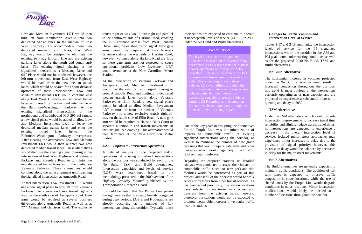# **Changes to Traffic Volumes and Intersection Level of Service**



Low and Medium Investment LRT would then turn left from Kenilworth Avenue into two dedicated transit lanes in the median of East West Highway. To accommodate these two dedicated median transit lanes, East West Highway would be restriped to eliminate the existing two-way left-turn lane and the existing parking lanes along the north and south curb lanes. The existing signal phasing at the signalized intersections at Mustang Drive and  $64<sup>th</sup>$  Place would not be modified; however, the left-turn movements from East West Highway would be made from the new median transit lanes, which would be shared for a short distance upstream of these intersections. Low and Medium Investment LRT would continue east along East West Highway in dedicated transit lanes until reaching the diamond interchange at the Baltimore-Washington Parkway. At the existing signalized intersections of the northbound and southbound MD 295 off-ramps, a new signal phase would be added to allow Low and Medium Investment LRT to leave the dedicated median transit lanes and enter the existing travel lanes beneath the Baltimore-Washington Parkway overpasses. After clearing the overpasses, Low and Medium Investment LRT would then re-enter two new dedicated median transit lanes. These alternatives would then use the existing signal phasing at the intersection of East West Highway and Veterans Parkway and Riverdale Road to turn into two new dedicated transit lanes within the median on Veterans Parkway. These alternatives would continue along the same alignment until reaching the signalized intersection at Annapolis Road.

At that intersection, Low Investment LRT would use a new signal phase to turn left from Veterans Parkway into a new exclusive transit right-ofway on the south side of Annapolis Road. Gate arms would be required at several business driveways along Annapolis Road, as well as at 77th Avenue and Garrison Road. The exclusive

transit right-of-way would turn right and parallel to the southwest side of Harkins Road, crossing the IRS entrance across from West Lanham Drive using the existing traffic signal. New gate arms would be required at two business driveways along the west side of Harkins Road; however, volumes along Harkins Road are low, so these gate arms are not expected to cause operational problems. Low Investment LRT would terminate at the New Carrollton Metro Station.

At the intersection of Veterans Parkway and Annapolis Road, Medium Investment LRT would use the existing traffic signal phasing to cross Annapolis Road and continue in dedicated median transit lanes south along Veterans Parkway. At Ellin Road, a new signal phase would be added to allow Medium Investment LRT to turn left from the median of Veterans Parkway into a new exclusive transit right-ofway on the south side of Ellin Road. A new gate arm would be required at Hanson Oaks Court to separate automobile and transit movements at this unsignalized crossing. This alternative would then terminate at the New Carrollton Metro Station.

# *3.2.3. Impacts to Intersection Operations*

A detailed analysis of the projected traffic operations at existing signalized intersections along the corridor was conducted for each of the No Build, TSM, and Build alternatives. Intersection capacities and levels of service (LOS) were determined based on the methodology presented in the 2000 version of the *Highway Capacity Manual,* published by the Transportation Research Board.

It should be noted that the Purple Line passes through an area that is already heavily congested during peak periods. LOS E and F operations are already occurring at a number of key intersections along the corridor. Typically, these intersections are expected to continue to operate at unacceptable levels of service (LOS F) in 2030 under the No Build and Build alternatives. Tables 3-17 and 3-18 summarize the intersection

levels of service for the 64 signalized intersections within the corridor in the AM and PM peak hours under existing conditions, as well as for the projected 2030 No Build, TSM, and Build alternatives.

The level of service for a signalized inte rsection is based on the average delay per vehicle. LOS A represents the highest quality operations with very low delay (less than 10 seconds per vehicle). L OS F repres ents the lowest quality operations, with delay exceeding 80 seconds per vehicle. LOS F conditio ns are often the result of over-saturated conditions, where vehicle demand at the intersection exceeds its capacity to process vehicles. Under LOS F condition s, it is common for som e vehicles to not pass through the inte rsection within a single cycle.

# **Level of Service**

# **No Build Alternative**

The substantial increase in volumes projected under the No Build alternative would result in increased congestion throughout the corridor; this trend is most obvious at the intersections currently operating at or near capacity and are projected to experience a substantial increase in queuing and delay in 2030.

# **TSM Alternative**

Under the TSM alternative, which would provide intersection improvements to increase travel time reliability and slightly reduce transit travel times, no intersections are expected to experience a decrease in the overall intersection level of service. Isolated minor street approaches may experience minor increases in delay due to the provision of signal priority; however, this increase in delay would be balanced by decreases in delay for the major street movements.

One of the key goals in designing the alternatives for the Purple Line was the minimization of impacts to automobile traffic at existing signalized intersections along the corridor, as well as to minimize the number of new grade crossings that would require gate arms and other measures, which would negatively impact traffic flow on major roadways.

Regarding the proposed stations, no detailed **Build Alternatives**  analysis was conducted to assess their impact on automobile traffic since no new park-and-ride facilities would be constructed as part of this project, almost all of the ridership would be walk access or transfers from other transit services. As has been noted previously, the station locations were selected to maximize walk access and transfers from the existing transit network; therefore, the stations would not be expected to promote measurable increases in vehicular traffic near the stations.

The Build alternatives are generally expected to maintain traffic conditions. The addition of left turn lanes is expected to improve traffic congestion in some locations, while the use of shared lanes by the Purple Line would degrade conditions in other locations. Minor intersection modifications would likely be needed at a number of locations throughout the corridor.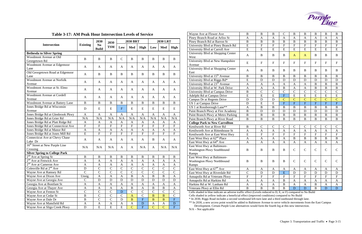# **Table 3-17: AM Peak Hour Intersection Levels of Service**

|                                      |                           | 2030                           | 2030                      | <b>2030 BRT</b>  |                |               | <b>2030 LRT</b>           |                |                           |  |
|--------------------------------------|---------------------------|--------------------------------|---------------------------|------------------|----------------|---------------|---------------------------|----------------|---------------------------|--|
| <b>Intersection</b>                  | <b>Existing</b>           | N <sub>0</sub><br><b>Build</b> | <b>TSM</b>                | Low              | Med            | High          | Low                       | Med            | <b>High</b>               |  |
| <b>Bethesda to Silver Spring</b>     |                           |                                |                           |                  |                |               |                           |                |                           |  |
| Woodmont Avenue at Old               | $\bf{B}$                  | B                              | B                         | $\mathbf C$      | B              |               | B                         |                | B                         |  |
| Georgetown Rd                        |                           |                                |                           |                  |                | B             |                           | B              |                           |  |
| Woodmont Avenue at Edgemoor          | A                         |                                |                           |                  | A              |               | A                         | A              | $\mathbf{A}$              |  |
| Lane                                 |                           | A                              | A                         | A                |                | A             |                           |                |                           |  |
| Old Georgetown Road at Edgemoor      | A                         | B                              | B                         | B                | B              | B             | B                         | B              | $\mathbf B$               |  |
| Lane                                 |                           |                                |                           |                  |                |               |                           |                |                           |  |
| Woodmont Avenue at Norfolk           | A                         | A                              | A                         | A                | A              | A             | A                         | A              | A                         |  |
| Avenue                               |                           |                                |                           |                  |                |               |                           |                |                           |  |
| Woodmont Avenue at St. Elmo          | A                         | A                              | A                         | A                | A              | A             | A                         | A              | A                         |  |
| Avenue                               |                           |                                |                           |                  |                |               |                           |                |                           |  |
| Woodmont Avenue at Cordell           | A                         | A                              | A                         | $\mathbf{A}$     | A              | A             | A                         | A              | $\mathbf{A}$              |  |
| Avenue                               |                           |                                |                           |                  |                |               |                           |                |                           |  |
| Woodmont Avenue at Battery Lane      | B                         | B                              | B                         | B                | B              | B             | B                         | B              | B                         |  |
| Jones Bridge Rd at Wisconsin         | D                         | E                              | E                         | $\mathbf{F}$     | E              | E             | E                         | E              | ${\bf E}$                 |  |
| Avenue                               |                           |                                |                           |                  |                |               |                           |                |                           |  |
| Jones Bridge Rd at Glenbrook Pkwy    | $\mathbf{A}$              | $\mathbf{A}$                   | A                         | A                | A              | $\mathbf{A}$  | $\mathbf{A}$              | A              | $\mathbf{A}$              |  |
| Jones Bridge Rd at Grier Rd          | N/A                       | N/A                            | N/A                       | N/A              | N/A            | N/A           | N/A                       | N/A            | N/A                       |  |
| Jones Bridge Rd at Platt Ridge Rd    | $\mathbf{A}$              | A                              | A                         | A                | $\mathbf{A}$   | A             | $\mathbf{A}$              | A              | $\mathbf{A}$              |  |
| Jones Bridge Rd at Connecticut Ave   | $\boldsymbol{\mathrm{F}}$ | ${\bf F}$                      | $\boldsymbol{\mathrm{F}}$ | ${\bf F}$        | $\overline{F}$ | ${\bf F}$     | ${\bf F}$                 | ${\bf F}$      | ${\bf F}$                 |  |
| Jones Bridge Rd at Manor Rd          | $\mathbf{A}$              | $\mathbf{A}$                   | $\mathbf{A}$              | A                | $\mathbf{A}$   | A             | $\mathbf{A}$              | A              | $\mathbf{A}$              |  |
| Jones Bridge Rd at Jones Mill Rd     | E                         | ${\bf F}$                      | $\overline{F}$            | ${\bf F}$        | $\overline{F}$ | $\mathbf F$   | $\overline{F}$            | $\mathbf F$    | $\mathbf{F}$              |  |
| Connecticut Ave at Chevy Chase       | A                         | A                              | A                         | A                | A              | A             | B                         | A              | A                         |  |
| Lake Dr                              |                           |                                |                           |                  |                |               |                           |                |                           |  |
| $16th$ Street at New Purple Line     | N/A                       | N/A                            | N/A                       | A                | A              | N/A           | A                         | N/A            | N/A                       |  |
| Crossing                             |                           |                                |                           |                  |                |               |                           |                |                           |  |
| <b>Silver Spring to College Park</b> |                           |                                |                           |                  |                |               |                           |                |                           |  |
| $2nd$ Ave at Spring St               | $\, {\bf B}$              | $\, {\bf B}$                   | $\overline{B}$            | $\bf{B}$         | B              | $\bf{B}$      | $\bf{B}$                  | $\bf{B}$       | $\bf{B}$                  |  |
| $2nd$ Ave at Fenwick Ave             | $\mathbf{A}$              | $\mathbf{A}$                   | $\mathbf{A}$              | A                | $\mathbf{A}$   | $\mathbf{A}$  | $\mathbf{A}$              | A              | A                         |  |
| $2nd$ Ave at Cameron Ave             | $\mathbf{A}$              | $\mathbf A$                    | $\mathbf{A}$              | $\boldsymbol{A}$ | A              | $\mathbf{A}$  | $\overline{A}$            | $\mathbf A$    | $\boldsymbol{\mathsf{A}}$ |  |
| Colesville Rd at $2nd$ Ave           | $\mathbf D$               | $\mathcal{C}$                  | $\mathsf{C}$              | $\mathcal{C}$    | $\overline{C}$ | $\mathcal{C}$ | $\overline{C}$            | $\mathsf{C}$   | $\overline{C}$            |  |
| Wayne Ave at Ramsey Rd               | $\mathbf C$               | $\mathsf{C}$                   | $\mathbf C$               | $\mathsf{C}$     | $\mathbf C$    | $\mathcal{C}$ | $\mathcal{C}$             | $\mathbf C$    | $\mathsf C$               |  |
| Wayne Ave at Dixon Ave               | Unsig.                    | $\mathbf{A}$                   | $\boldsymbol{\mathsf{A}}$ | A                | $\, {\bf B}$   | $\mathbf{A}$  | $\, {\bf B}$              | $\, {\bf B}$   | A                         |  |
| Wayne Ave at Georgia Ave             | $\mathbf C$               | $\mathbf D$                    | ${\bf D}$                 | $\mathbf D$      | $\mathbf D$    | $\mathbf D$   | $\mathbf D$               | $\mathbf D$    | $\mathbf D$               |  |
| Georgia Ave at Bonifant St           | $\mathbf{A}$              | A                              | $\mathbf A$               | $\mathbf A$      | $\mathbf A$    | A             | $\boldsymbol{A}$          | $\mathbf{A}$   | $\mathbf A$               |  |
| Georgia Ave at Thayer Ave            | $\mathbf{A}$              | A                              | A                         | A                | $\, {\bf B}$   | A             | $\, {\bf B}$              | $\bf{B}$       | A                         |  |
| Wayne Ave at Fenton St               | $\overline{C}$            | $\mathsf{C}$                   | $\overline{C}$            | ${\bf D}$        | ${\bf C}$      | $\mathsf{C}$  | $\mathsf{C}$              | $\mathsf{C}$   | $\mathsf{C}$              |  |
| Wayne Ave at Cedar St                | $\, {\bf B}$              | $\mathbf C$                    | $\mathbf C$               | $\mathbf C$      | $\mathbf{A}$   | $\mathbf C$   | $\mathbf B$               | $\overline{B}$ | $\mathsf{C}$              |  |
| Wayne Ave at Dale Dr                 | $\, {\bf B}$              | $\overline{C}$                 | $\overline{C}$            | $\mathbf D$      | $\overline{B}$ | $\mathbf F$   | $\, {\bf B}$              | $\overline{B}$ | ${\bf F}$                 |  |
| Wayne Ave at Mansfield Rd            | $\boldsymbol{\mathsf{A}}$ | $\boldsymbol{A}$               | $\mathbf A$               | A                | $\mathbf A$    | ${\bf D}$     | $\boldsymbol{\mathsf{A}}$ | A              | ${\bf D}$                 |  |
| Wayne Ave at Sligo Creek Pkwy        | $\mathbf D$               | ${\bf E}$                      | ${\bf E}$                 | ${\bf E}$        | $\mathbf C$    | $\mathbf F$   | $\mathbf C$               | $\mathbf C$    | $\mathbf F$               |  |

| Wayne Ave at Flower Ave                                                   | $\bf{B}$                  | $\, {\bf B}$              | $\, {\bf B}$              | $\mathbf C$               | B                         | $\bf{B}$                | $\, {\bf B}$          | $\, {\bf B}$   | $\, {\bf B}$              |
|---------------------------------------------------------------------------|---------------------------|---------------------------|---------------------------|---------------------------|---------------------------|-------------------------|-----------------------|----------------|---------------------------|
| Piney Branch Road at Arliss St                                            | $\mathbf{A}$              | $\mathbf{A}$              | $\mathbf{A}$              | $\mathbf{A}$              | A                         | $\mathbf{A}$            | A                     | $\mathbf{A}$   | A                         |
| Piney Branch Rd at Barron St                                              | $\, {\bf B}$              | $\bf{B}$                  | $\, {\bf B}$              | $\, {\bf B}$              | $\, {\bf B}$              | $\, {\bf B}$            | $\, {\bf B}$          | $\, {\bf B}$   | $\, {\bf B}$              |
| University Blvd at Piney Branch Rd                                        | ${\bf E}$                 | ${\bf F}$                 | ${\bf F}$                 | $\overline{F}$            | ${\bf F}$                 | $\overline{F}$          | ${\bf F}$             | $\overline{F}$ | $\boldsymbol{\mathrm{F}}$ |
| University Blvd at Carroll Ave                                            | ${\bf E}$                 | E                         | ${\bf E}$                 | E                         | ${\bf E}$                 | E                       | ${\bf E}$             | E              | ${\bf E}$                 |
| University Blvd at Shopping Center<br>West                                | $\mathbf{A}$              | $\, {\bf B}$              | $\bf{B}$                  | $\mathbf B$               | $\mathbf{A}$              | $\mathbf{A}$            | B                     | $\bf{B}$       | $\bf{B}$                  |
| University Blvd at New Hampshire<br>Avenue                                | E                         | $\boldsymbol{\mathrm{F}}$ | $\boldsymbol{\mathrm{F}}$ | $\boldsymbol{\mathrm{F}}$ | ${\bf F}$                 | ${\bf F}$               | ${\bf F}$             | ${\bf F}$      | ${\bf F}$                 |
| University Blvd at Shopping Center<br>East                                | $\mathbf{A}$              | B                         | B                         | B                         | $\bf{B}$                  | B                       | B                     | B              | $\, {\bf B}$              |
| University Blvd at 15 <sup>th</sup> Avenue                                | $\, {\bf B}$              | $\, {\bf B}$              | $\, {\bf B}$              | $\, {\bf B}$              | $\, {\bf B}$              | $\, {\bf B}$            | $\, {\bf B}$          | $\bf{B}$       | $\, {\bf B}$              |
| University Blvd at Riggs Rd*                                              | ${\bf E}$                 | $\mathbf D$               | $\mathbf D$               | ${\bf D}$                 | $\mathbf D$               | $\mathbf D$             | $\mathbf D$           | $\mathbf D$    | $\mathbf D$               |
| University Blvd at 23 <sup>rd</sup> Avenue                                | $\mathbf{A}$              | $\mathbf{A}$              | $\mathbf{A}$              | $\mathbf{A}$              | $\mathbf{A}$              | $\mathbf{A}$            | $\, {\bf B}$          | $\, {\bf B}$   | $\, {\bf B}$              |
| University Blvd at W. Park Drive                                          | $\mathbf{A}$              | $\mathbf{A}$              | $\mathbf{A}$              | $\, {\bf B}$              | $\boldsymbol{\mathsf{A}}$ | $\mathbf{A}$            | $\, {\bf B}$          | $\, {\bf B}$   | $\, {\bf B}$              |
| University Blvd at Campus Drive                                           | $\bf{B}$                  | $\mathbf C$               | $\mathcal{C}$             | $\overline{C}$            | $\mathcal{C}$             | $\overline{C}$          | $\mathcal{C}$         | $\mathbf C$    | $\mathcal{C}$             |
| Adelphi Rd at Campus Drive                                                | $\overline{E}$            | $\overline{E}$            | $\overline{E}$            | $\overline{F}$            | $\overline{E}$            | $\overline{E}$          | $\overline{E}$        | $\overline{E}$ | $\overline{\mathrm{E}}$   |
| Campus Dr at Regents Drive                                                | ${\bf D}$                 | ${\bf D}$                 | ${\bf D}$                 | $\overline{C}$            | $\overline{C}$            | $\overline{C}$          | $\mathbf C$           | $\overline{C}$ | $\mathbf C$               |
| US 1 at Campus Drive                                                      | $\mathbf D$               | ${\bf E}$                 | E                         | $\boldsymbol{\mathrm{F}}$ | ${\bf F}$                 | $\overline{F}$          | ${\bf F}$             | $\overline{F}$ | $\overline{\mathrm{F}}$   |
| US 1 at Rossborough Lane**                                                | $\mathbf{A}$              | $\, {\bf B}$              | $\, {\bf B}$              | $\, {\bf B}$              | $\, {\bf B}$              | $\, {\bf B}$            | $\, {\bf B}$          | $\, {\bf B}$   | $\, {\bf B}$              |
| Paint Branch Pkwy at Fire Academy                                         | $\, {\bf B}$              | $\mathbf D$               | $\mathbf D$               | $\mathbf D$               | $\mathbf D$               | D                       | $\mathbf D$           | D              | $\mathbf D$               |
| Paint Branch Pkwy at Metro Parking                                        | $\, {\bf B}$              | $\, {\bf B}$              | $\, {\bf B}$              | $\, {\bf B}$              | $\, {\bf B}$              | $\, {\bf B}$            | $\, {\bf B}$          | $\, {\bf B}$   | $\, {\bf B}$              |
| Paint Branch Pkwy at River Road                                           | $\, {\bf B}$              | $\, {\bf B}$              | $\, {\bf B}$              | $\, {\bf B}$              | $\, {\bf B}$              | $\, {\bf B}$            | $\bf{B}$              | $\, {\bf B}$   | $\, {\bf B}$              |
| <b>College Park to New Carrollton</b>                                     |                           |                           |                           |                           |                           |                         |                       |                |                           |
| Kenilworth Ave at River Rd                                                | $\, {\bf B}$              | $\mathbf C$               | $\mathbf C$               | $\mathbf C$               | $\mathbf C$               | $\mathbf C$             | $\mathsf{C}$          | $\mathsf{C}$   | $\mathsf{C}$              |
| Kenilworth Ave at Rittenhouse St                                          | $\mathbf A$               | $\mathbf{A}$              | $\mathbf{A}$              | $\mathbf{A}$              | $\mathbf{A}$              | $\mathbf{A}$            | $\mathbf{A}$          | $\mathbf{A}$   | $\mathbf{A}$              |
| Kenilworth Ave at East West Hwy                                           | $\overline{E}$            | ${\bf F}$                 | $\overline{F}$            | ${\bf F}$                 | $\boldsymbol{\mathrm{F}}$ | $\overline{\mathrm{F}}$ | $\overline{F}$        | $\overline{F}$ | ${\bf F}$                 |
| East West Hwy at 62 <sup>nd</sup> Place                                   | $\boldsymbol{\mathsf{A}}$ | A                         | A                         | $\boldsymbol{\mathsf{A}}$ | $\, {\bf B}$              | $\, {\bf B}$            | $\bf{B}$              | $\, {\bf B}$   | $\, {\bf B}$              |
| East West Hwy at 64 <sup>th</sup> Ave                                     | $\mathbf{A}$              | $\mathbf{A}$              | $\mathbf{A}$              | A                         | A                         | $\mathbf{A}$            | A                     | $\mathbf{A}$   | A                         |
| East West Hwy at Baltimore-<br>Washington Pkwy Southbound<br>Ramps        | $\, {\bf B}$              | B                         | $\bf{B}$                  | $\bf{B}$                  | $\mathsf{C}$              | $\mathbf C$             | $\mathsf{C}$          | $\mathbf C$    | $\mathsf{C}$              |
| East West Hwy at Baltimore-<br>Washington Pkwy Northbound<br><b>Ramps</b> | $\, {\bf B}$              | $\, {\bf B}$              | $\, {\bf B}$              | B                         | $\mathbf C$               | $\mathbf C$             | $\mathcal{C}$         | $\mathcal{C}$  | $\mathcal{C}$             |
| East West Hwy at 67 <sup>th</sup> Ave                                     | A                         | A                         | A                         | A                         | A                         | A                       | A                     | A              | A                         |
| East West Hwy at Riverdale Rd                                             | $\overline{C}$            | ${\bf D}$                 | ${\bf D}$                 | ${\bf E}$                 | $\mathbf D$               | ${\bf D}$               | $\mathbf D$           | $\mathbf D$    | D                         |
| Annapolis Rd at Veterans Pkwy                                             | $\overline{F}$            | ${\bf F}$                 | ${\bf F}$                 | ${\bf F}$                 | $\mathbf F$               | ${\bf F}$               | ${\bf F}$             | ${\bf F}$      | $\boldsymbol{\mathrm{F}}$ |
| Annapolis Rd at Harkins Rd                                                | $\boldsymbol{\mathsf{A}}$ | $\mathbf{A}$              | $\boldsymbol{\rm{A}}$     | $\, {\bf B}$              | A                         | $\mathbf A$             | $\boldsymbol{\rm{A}}$ | $\mathbf A$    | A                         |
| Harkins Rd at W. Lanham Rd                                                | $\mathbf A$               | A                         | A                         | $\, {\bf B}$              | A                         | $\mathbf{A}$            | $\bf{B}$              | $\mathbf{A}$   | A                         |
| Veterans Pkwy at Ellin Rd                                                 | $\, {\bf B}$              | $\, {\bf B}$              | $\bf{B}$                  | $\bf{B}$                  | $\mathbf D$               | ${\bf D}$               | B                     | ${\bf D}$      | ${\bf D}$                 |

Cells shaded in blue indicate an adverse traffic effect (Levels reduced to D, E, or F) compared to No Build Cells shaded in yellow indicate a beneficial effect (improved conditions) compared to No Build \* In 2030, Riggs Road includes a second westbound left-turn lane and a third eastbound through lane.

\*\* In 2030, a new access point would be added to Baltimore Avenue to serve vehicle movements from the East Campus

Development. Certain Purple Line alternatives would form the fourth leg at this new intersection. N/A – Not applicable

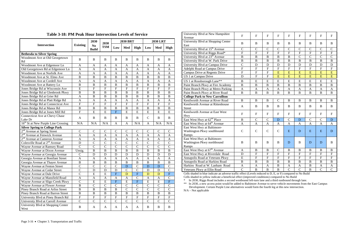|                                                 |                           | 2030                           | 2030           |                | <b>2030 BRT</b>  |                           | <b>2030 LRT</b> |                |                           |  |  |
|-------------------------------------------------|---------------------------|--------------------------------|----------------|----------------|------------------|---------------------------|-----------------|----------------|---------------------------|--|--|
| <b>Intersection</b>                             | <b>Existing</b>           | N <sub>0</sub><br><b>Build</b> | <b>TSM</b>     | Low            | Med              | <b>High</b>               | Low             | Med            | High                      |  |  |
| <b>Bethesda to Silver Spring</b>                |                           |                                |                |                |                  |                           |                 |                |                           |  |  |
| Woodmont Ave at Old Georgetown                  | $\bf{B}$                  | $\bf{B}$                       | $\bf{B}$       | $\bf{B}$       | $\bf{B}$         | $\bf{B}$                  | $\bf{B}$        | $\bf{B}$       | B                         |  |  |
| Rd                                              |                           |                                |                |                |                  |                           |                 |                |                           |  |  |
| Woodmont Ave at Edgemoor Ln                     | $\mathbf{A}$              | A                              | $\mathbf{A}$   | A              | A                | $\mathbf{A}$              | $\mathbf{A}$    | $\mathbf{A}$   | $\mathbf{A}$              |  |  |
| Old Georgetown Rd at Edgemoor Ln                | A                         | A                              | A              | A              | A                | A                         | A               | A              | A                         |  |  |
| Woodmont Ave at Norfolk Ave                     | $\mathbf{A}$              | $\mathbf{A}$                   | $\mathbf{A}$   | $\mathbf{A}$   | $\mathbf{A}$     | $\mathbf{A}$              | $\mathbf{A}$    | $\mathbf{A}$   | $\mathbf{A}$              |  |  |
| Woodmont Ave at St. Elmo Ave                    | $\, {\bf B}$              | $\bf{B}$                       | $\, {\bf B}$   | $\, {\bf B}$   | $\overline{B}$   | $\, {\bf B}$              | $\mathbf B$     | $\bf{B}$       | $\overline{B}$            |  |  |
| Woodmont Ave at Cordell Ave                     | $\overline{A}$            | $\mathbf{A}$                   | $\mathbf{A}$   | $\mathbf{A}$   | $\mathbf{A}$     | $\mathbf{A}$              | $\mathbf{A}$    | $\mathbf{A}$   | $\mathbf{A}$              |  |  |
| Woodmont Ave at Battery Ln                      | $\boldsymbol{B}$          | $\, {\bf B}$                   | $\bf{B}$       | $\, {\bf B}$   | $\bf{B}$         | $\, {\bf B}$              | $\, {\bf B}$    | $\, {\bf B}$   | $\overline{B}$            |  |  |
| Jones Bridge Rd at Wisconsin Ave                | $\overline{E}$            | $\overline{F}$                 | $\overline{F}$ | $\overline{F}$ | $\overline{F}$   | $\boldsymbol{\mathrm{F}}$ | $\overline{F}$  | $\overline{F}$ | $\overline{F}$            |  |  |
| Jones Bridge Rd at Glenbrook Pkwy               | $\bf{B}$                  | $\, {\bf B}$                   | $\, {\bf B}$   | $\, {\bf B}$   | $\bf{B}$         | $\, {\bf B}$              | $\, {\bf B}$    | $\, {\bf B}$   | $\, {\bf B}$              |  |  |
| Jones Bridge Rd at Grier Rd                     | $\overline{A}$            | $\overline{B}$                 | $\overline{B}$ | $\, {\bf B}$   | $\overline{B}$   | $\bf{B}$                  | $\overline{B}$  | $\overline{B}$ | $\overline{B}$            |  |  |
| Jones Bridge Rd at Platt Ridge Rd               | $\overline{A}$            | $\mathbf{A}$                   | $\mathbf{A}$   | $\mathbf{A}$   | $\boldsymbol{A}$ | $\mathbf{A}$              | $\mathbf{A}$    | A              | $\mathbf{A}$              |  |  |
| Jones Bridge Rd at Connecticut Ave              | $\overline{F}$            | $\overline{F}$                 | $\overline{F}$ | $\overline{F}$ | $\overline{F}$   | $\overline{F}$            | $\overline{F}$  | $\overline{F}$ | $\overline{F}$            |  |  |
| Jones Bridge Rd at Manor Rd                     | $\overline{B}$            | $\, {\bf B}$                   | $\, {\bf B}$   | $\, {\bf B}$   | $\overline{B}$   | $\, {\bf B}$              | $\, {\bf B}$    | $\, {\bf B}$   | $\overline{B}$            |  |  |
| Jones Bridge Rd at Jones Mill Rd                | $\boldsymbol{\mathrm{F}}$ | E                              | E              | ${\bf F}$      | E                | ${\bf E}$                 | E               | E              | $\overline{E}$            |  |  |
| Connecticut Ave at Chevy Chase                  | A                         | B                              | B              | B              | B                | B                         | $\mathsf{C}$    | $\bf{B}$       | B                         |  |  |
| Lake Dr                                         |                           |                                |                |                |                  |                           |                 |                |                           |  |  |
| 16 <sup>th</sup> St at New Purple Line Crossing | N/A                       | N/A                            | N/A            | $\mathbf{A}$   | $\mathbf{A}$     | N/A                       | A               | N/A            | N/A                       |  |  |
| <b>Silver Spring to College Park</b>            |                           |                                |                |                |                  |                           |                 |                |                           |  |  |
| 2 <sup>nd</sup> Avenue at Spring Street         | $\mathsf{C}$              | $\mathsf{C}$                   | $\mathcal{C}$  | $\mathbf C$    | $\mathsf C$      | $\mathbf C$               | $\mathsf{C}$    | $\mathcal{C}$  | $\mathsf{C}$              |  |  |
| $2nd$ Avenue at Fenwick Avenue                  | $\boldsymbol{A}$          | $\mathbf{A}$                   | $\mathbf{A}$   | $\mathbf{A}$   | $\mathbf{A}$     | $\mathbf{A}$              | $\mathbf{A}$    | $\mathbf{A}$   | $\mathbf{A}$              |  |  |
| $2nd$ Avenue at Cameron Avenue                  | $\boldsymbol{A}$          | $\mathbf{A}$                   | $\mathbf{A}$   | $\mathbf{A}$   | $\boldsymbol{A}$ | $\boldsymbol{A}$          | $\mathbf{A}$    | A              | $\mathbf{A}$              |  |  |
| Colesville Road at 2 <sup>nd</sup> Avenue       | $\mathbf D$               | $\overline{C}$                 | $\mathbf C$    | $\mathcal{C}$  | $\overline{C}$   | $\mathcal{C}$             | $\mathcal{C}$   | $\mathcal{C}$  | $\mathcal{C}$             |  |  |
| Wayne Avenue at Ramsey Road                     | $\overline{C}$            | $\overline{C}$                 | $\overline{C}$ | $\overline{C}$ | $\overline{C}$   | $\overline{C}$            | $\overline{C}$  | $\overline{C}$ | $\overline{C}$            |  |  |
| Wayne Avenue at Dixon Avenue                    | Unsig.                    | $\overline{B}$                 | $\, {\bf B}$   | $\, {\bf B}$   | $\overline{B}$   | $\, {\bf B}$              | $\overline{B}$  | $\overline{B}$ | $\overline{B}$            |  |  |
| Wayne Avenue at Georgia Avenue                  | $\mathsf{C}$              | $\mathbf D$                    | $\mathbf D$    | $\mathbf D$    | $\mathbf D$      | $\mathbf D$               | D               | D              | D                         |  |  |
| Georgia Avenue at Bonifant Street               | $\mathbf{A}$              | $\mathbf{A}$                   | $\mathbf{A}$   | $\mathbf{A}$   | $\mathbf{A}$     | $\mathbf{A}$              | $\mathbf{A}$    | $\mathbf{A}$   | $\mathbf{A}$              |  |  |
| Georgia Avenue at Thayer Avenue                 | $\, {\bf B}$              | $\, {\bf B}$                   | $\, {\bf B}$   | $\, {\bf B}$   | $\bf{B}$         | $\, {\bf B}$              | $\, {\bf B}$    | $\, {\bf B}$   | $\, {\bf B}$              |  |  |
| Wayne Avenue at Fenton Street                   | $\overline{C}$            | $\overline{C}$                 | $\overline{C}$ | $\overline{C}$ | D                | $\overline{C}$            | D               | D              | $\overline{C}$            |  |  |
| Wayne Avenue at Cedar Street                    | $\mathsf{C}$              | $\mathbf D$                    | $\mathbf D$    | D              | $\mathbf C$      | $\mathbf C$               | $\mathbf D$     | $\mathbf D$    | $\mathsf{C}$              |  |  |
| Wayne Avenue at Dale Drive                      | $\overline{C}$            | E                              | ${\bf E}$      | ${\bf F}$      | D                | ${\bf F}$                 | D               | $\mathbf D$    | ${\bf F}$                 |  |  |
| Wayne Avenue at Mansfield Road                  | $\mathbf A$               | A                              | A              | A              | A                | $\mathsf{C}$              | $\mathbf{A}$    | A              | $\mathsf{C}$              |  |  |
| Wayne Avenue at Sligo Creek Pkwy                | $\overline{C}$            | ${\bf E}$                      | ${\bf E}$      | ${\bf F}$      | ${\bf E}$        | $\overline{\mathrm{F}}$   | ${\bf E}$       | ${\bf E}$      | $\mathbf F$               |  |  |
| Wayne Avenue at Flower Avenue                   | $\, {\bf B}$              | $\mathcal{C}$                  | $\overline{C}$ | $\mathcal{C}$  | $\mathbf C$      | $\mathbf C$               | $\mathcal{C}$   | $\overline{C}$ | $\mathcal{C}$             |  |  |
| Piney Branch Road at Arliss Street              | $\, {\bf B}$              | $\, {\bf B}$                   | $\, {\bf B}$   | $\, {\bf B}$   | $\overline{C}$   | $\mathsf{C}$              | $\overline{C}$  | $\overline{C}$ | $\mathbf C$               |  |  |
| Piney Branch Road at Barron Street              | $\, {\bf B}$              | $\, {\bf B}$                   | $\, {\bf B}$   | $\, {\bf B}$   | $\, {\bf B}$     | $\, {\bf B}$              | $\, {\bf B}$    | $\bf{B}$       | $\bf{B}$                  |  |  |
| University Blvd at Piney Branch Rd              | ${\bf F}$                 | ${\bf F}$                      | ${\bf F}$      | ${\bf F}$      | ${\bf F}$        | ${\bf F}$                 | ${\bf F}$       | ${\bf F}$      | $\boldsymbol{\mathrm{F}}$ |  |  |
| University Blvd at Carroll Avenue               | $\overline{C}$            | $\mathbf C$                    | $\mathsf{C}$   | $\mathbf C$    | $\overline{C}$   | $\mathbf C$               | $\mathbf C$     | $\mathcal{C}$  | $\mathbf C$               |  |  |
| University Blvd at Shopping Center<br>West      | B                         | A                              | A              | A              | A                | A                         | B               | B              | B                         |  |  |

**Table 3-18: PM Peak Hour Intersection Levels of Service** 

Cells shaded in blue indicate an adverse traffic effect (Levels reduced to D, E, or F) compared to No Build Cells shaded in yellow indicate a beneficial effect (improved conditions) compared to No Build

| University Blvd at New Hampshire<br>Avenue                         | $\overline{F}$ | $\overline{F}$ | $\mathbf{F}$   | $\mathbf{F}$              | $\mathbf{F}$          | $\mathbf{F}$              | $\mathbf{F}$              | $\mathbf F$               | $\mathbf F$    |
|--------------------------------------------------------------------|----------------|----------------|----------------|---------------------------|-----------------------|---------------------------|---------------------------|---------------------------|----------------|
| University Blvd at Shopping Center<br>East                         | $\bf{B}$       | B              | $\bf{B}$       | B                         | B                     | B                         | B                         | B                         | B              |
| University Blvd at 15 <sup>th</sup> Avenue                         | $\overline{C}$ | $\mathbf C$    | $\mathsf{C}$   | $\mathbf C$               | $\overline{C}$        | $\mathsf{C}$              | $\overline{C}$            | $\mathsf{C}$              | $\mathcal{C}$  |
| University Blvd at Riggs Road*                                     | $\overline{F}$ | ${\bf F}$      | ${\bf F}$      | ${\bf F}$                 | $\mathbf F$           | $\boldsymbol{\mathrm{F}}$ | ${\bf F}$                 | $\boldsymbol{\mathrm{F}}$ | ${\bf F}$      |
| University Blvd at 23rd Avenue                                     | $\overline{B}$ | $\, {\bf B}$   | $\, {\bf B}$   | $\, {\bf B}$              | $\, {\bf B}$          | $\overline{C}$            | $\overline{C}$            | $\overline{C}$            | $\overline{C}$ |
| University Blvd at W. Park Drive                                   | $\overline{B}$ | $\overline{B}$ | $\, {\bf B}$   | $\bf{B}$                  | $\, {\bf B}$          | $\bf{B}$                  | $\bf{B}$                  | $\overline{B}$            | $\, {\bf B}$   |
| University Blvd at Campus Drive                                    | $\overline{C}$ | $\mathbf D$    | D              | D                         | D                     | $\mathbf D$               | $\mathbf D$               | $\mathbf D$               | D              |
| Adelphi Road at Campus Drive                                       | $\overline{F}$ | $\overline{F}$ | $\overline{F}$ | $\overline{F}$            | $\overline{F}$        | $\overline{F}$            | $\overline{F}$            | $\overline{F}$            | $\overline{F}$ |
| Campus Drive at Regents Drive                                      | $\overline{F}$ | ${\bf F}$      | $\overline{F}$ | E                         | E                     | E                         | E                         | E                         | ${\bf E}$      |
| US 1 at Campus Drive                                               | D              | $\overline{F}$ | $\overline{F}$ | $\overline{E}$            | $\overline{\text{E}}$ | $\overline{E}$            | E                         | $\overline{E}$            | $\overline{E}$ |
| US 1 at Rossborough Lane**                                         | $\, {\bf B}$   | ${\bf E}$      | ${\bf E}$      | ${\bf E}$                 | ${\bf E}$             | ${\bf E}$                 | ${\bf E}$                 | ${\bf E}$                 | E              |
| Paint Branch Pkwy at Fire Academy                                  | $\mathbf{B}$   | $\, {\bf B}$   | $\, {\bf B}$   | $\bf{B}$                  | $\, {\bf B}$          | $\, {\bf B}$              | $\, {\bf B}$              | $\, {\bf B}$              | $\, {\bf B}$   |
| Paint Branch Pkwy at Metro Parking                                 | $\overline{A}$ | $\mathbf{A}$   | $\mathbf{A}$   | $\mathbf{A}$              | $\mathbf{A}$          | $\mathbf{A}$              | $\mathbf{A}$              | $\mathbf{A}$              | $\mathbf{A}$   |
| Paint Branch Pkwy at River Road                                    | $\overline{B}$ | $\, {\bf B}$   | $\bf{B}$       | $\bf{B}$                  | $\bf{B}$              | $\bf{B}$                  | $\bf{B}$                  | $\overline{B}$            | $\bf{B}$       |
| <b>College Park to New Carrollton</b>                              |                |                |                |                           |                       |                           |                           |                           |                |
| Kenilworth Avenue at River Road                                    | $\overline{B}$ | $\bf{B}$       | $\bf{B}$       | $\mathcal{C}$             | $\bf{B}$              | $\bf{B}$                  | $\bf{B}$                  | $\mathbf{B}$              | $\bf{B}$       |
| Kenilworth Avenue at Rittenhouse<br><b>Street</b>                  | $\mathbf{A}$   | $\bf{B}$       | B              | $\bf{B}$                  | $\mathbf B$           | $\bf{B}$                  | $\bf{B}$                  | $\bf{B}$                  | $\bf{B}$       |
| Kenilworth Avenue at East West<br>Hwy                              | $\overline{F}$ | ${\bf F}$      | $\mathbf F$    | $\mathbf{F}$              | ${\bf F}$             | $\mathbf F$               | $\mathbf F$               | $\mathbf{F}$              | $\mathbf{F}$   |
| East West Hwy at 62 <sup>nd</sup> Place                            | $\bf{B}$       | $\mathsf{C}$   | $\mathcal{C}$  | D                         | $\mathcal{C}$         | D                         | $\overline{C}$            | $\mathbf C$               | D              |
| East West Hwy at 64 <sup>th</sup> Avenue                           | $\overline{A}$ | $\mathbf{A}$   | $\overline{A}$ | $\mathbf{A}$              | $\overline{A}$        | $\mathbf{A}$              | $\mathbf{A}$              | $\overline{A}$            | A              |
| East West Hwy at Baltimore-<br>Washington Pkwy southbound<br>Ramps | $\overline{C}$ | $\mathbf C$    | $\mathsf{C}$   | $\mathbf C$               | E                     | D                         | E                         | E                         | D              |
| East West Hwy at Baltimore-<br>Washington Pkwy northbound<br>Ramps | $\bf{B}$       | B              | B              | $\bf{B}$                  | D                     | B                         | D                         | D                         | B              |
| East West Hwy at 67 <sup>th</sup> Avenue                           | $\mathbf{A}$   | $\, {\bf B}$   | $\, {\bf B}$   | $\mathsf{C}$              | $\bf{B}$              | $\, {\bf B}$              | B                         | $\, {\bf B}$              | $\, {\bf B}$   |
| East West Hwy at Riverdale Road                                    | $\overline{D}$ | $\overline{F}$ | $\overline{F}$ | $\overline{F}$            | $\overline{F}$        | $\overline{F}$            | $\boldsymbol{\mathrm{F}}$ | $\overline{F}$            | ${\bf F}$      |
| Annapolis Road at Veterans Pkwy                                    | $\overline{E}$ | ${\bf F}$      | ${\bf F}$      | $\boldsymbol{\mathrm{F}}$ | ${\bf F}$             | ${\bf F}$                 | $\boldsymbol{\mathrm{F}}$ | ${\bf F}$                 | ${\bf F}$      |
| Annapolis Road at Harkins Road                                     | $\overline{B}$ | $\bf{B}$       | $\, {\bf B}$   | $\bf{B}$                  | $\bf{B}$              | $\, {\bf B}$              | $\bf{B}$                  | $\, {\bf B}$              | $\, {\bf B}$   |
| Harkins Road at W. Lanham Road                                     | A              | A              | A              | $\, {\bf B}$              | A                     | A                         | B                         | A                         | A              |
| Veterans Pkwy at Ellin Road                                        | $\overline{C}$ | $\, {\bf B}$   | $\, {\bf B}$   | $\, {\bf B}$              | $\overline{C}$        | $\overline{C}$            | $\overline{B}$            | $\overline{C}$            | $\overline{C}$ |

\* In 2030, Riggs Road includes a second westbound left-turn lane and a third eastbound through lane.

\*\* In 2030, a new access point would be added to Baltimore Avenue to serve vehicle movements from the East Campus

Development. Certain Purple Line alternatives would form the fourth leg at this new intersection.  $N/A - Not$  applicable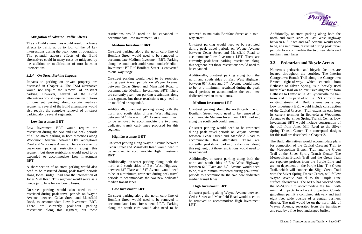# **Mitigation of Adverse Traffic Effects**

The six Build alternatives would result in adverse effects to traffic at up to four of the 64 key intersections during the peak hours of operation. The potential adverse effects of the Build alternatives could in many cases be mitigated by the addition or modification of turn lanes at intersections.

# *3.2.4. On-Street Parking Impacts*

Impacts to parking on private property are discussed in Chapter 4. The TSM alternative would not require the removal of on-street parking. However, several of the Build alternatives would require peak-hour restrictions of on-street parking along certain roadway segments. Several of the Build alternatives would also require the complete removal of on-street parking along several segments.

# **Low Investment BRT**

Low Investment BRT would require the restriction during the AM and PM peak periods of all on-street parking in both directions along Woodmont Avenue, between Old Georgetown Road and Wisconsin Avenue. There are currently peak-hour parking restrictions along this segment, but those restrictions would need to be expanded to accommodate Low Investment BRT.

A short section of on-street parking would also need to be restricted during peak travel periods along Jones Bridge Road near the intersection of Jones Mill Road. This segment would serve as a queue jump lane for eastbound buses.

On-street parking would also need to be restricted during peak travel periods on Wayne Avenue, between Cedar Street and Mansfield Road, to accommodate Low Investment BRT. There are currently peak-hour parking restrictions along this segment, but those restrictions would need to be expanded to accommodate Low Investment BRT.

# **Medium Investment BRT**

On-street parking along the north curb line of Bonifant Street would need to be removed to accommodate Medium Investment BRT. Parking along the south curb could remain under Medium Investment BRT if Bonifant Street is converted to one-way usage.

On-street parking would need to be restricted during peak travel periods on Wayne Avenue, between Cedar Street and Mansfield Road to accommodate Medium Investment BRT. There are currently peak-hour parking restrictions along this segment, but those restrictions may need to be modified or expanded.

Additionally, on-street parking along both the north and south sides of East West Highway, between  $61<sup>st</sup>$  Place and  $64<sup>th</sup>$  Avenue would need to be removed to accommodate the two new dedicated transit curb lanes proposed for this segment.

# **High Investment BRT**

On-street parking along Wayne Avenue between Cedar Street and Mansfield Road would need to be removed to accommodate High Investment BRT.

Additionally, on-street parking along both the north and south sides of East West Highway, between  $61<sup>st</sup>$  Place and  $64<sup>th</sup>$  Avenue would need to be, at a minimum, restricted during peak travel periods to accommodate the two new dedicated median transit lanes.

# **Low Investment LRT**

On-street parking along the north curb line of Bonifant Street would need to be removed to accommodate Low Investment LRT. Parking along the south curb would also need to be

removed to maintain Bonifant Street as a twoway street.

On-street parking would need to be restricted during peak travel periods on Wayne Avenue between Cedar Street and Mansfield Road to accommodate Low Investment LRT. There are currently peak-hour parking restrictions along this segment, but those restrictions would need to be expanded.

Additionally, on-street parking along both the north and south sides of East West Highway, between  $61<sup>st</sup>$  Place and  $64<sup>th</sup>$  Avenue would need to be, at a minimum, restricted during the peak travel periods to accommodate the two new dedicated median transit lanes.

# **Medium Investment LRT**

On-street parking along the north curb line of Bonifant Street would need to be removed to accommodate Medium Investment LRT. Parking along the south curb could remain.

On-street parking would need to be restricted during peak travel periods on Wayne Avenue between Cedar Street and Mansfield Road to accommodate this alternative. There are currently peak-hour parking restrictions along this segment, but those restrictions would need to be expanded.

Additionally, on-street parking along both the north and south sides of East West Highway, between  $61<sup>st</sup>$  Place and  $64<sup>th</sup>$  Avenue would need to be, at a minimum, restricted during peak travel periods to accommodate the two new dedicated median transit lanes.

# **High Investment LRT**

On-street parking along Wayne Avenue between Cedar Street and Mansfield Road would need to be removed to accommodate High Investment LRT.



Additionally, on-street parking along both the north and south sides of East West Highway between  $61<sup>st</sup>$  Place and  $64<sup>th</sup>$  Avenue would need to be, at a minimum, restricted during peak travel periods to accommodate the two new dedicated median transit lanes.

# **3.3. Pedestrian and Bicycle Access**

Numerous pedestrian and bicycle facilities are located throughout the corridor. The Interim Georgetown Branch Trail along the Georgetown Branch right-of-way, which extends from Bethesda to Silver Spring, is a heavily used hiker-biker trail on an exclusive alignment from Bethesda to Lyttonsville. At Lyttonsville the trail turns and runs parallel to the CSX corridor on existing streets. All Build alternatives except Low Investment BRT would include construction of the Capital Crescent Trail extension east from its current terminus in Bethesda at Woodmont Avenue to the Silver Spring Transit Center. Low Investment BRT would include construction of the trail from Jones Mill Road to the Silver Spring Transit Center. The conceptual designs for this trail are described in Chapter 2.

The Build alternatives would accommodate plans for connection of the Capital Crescent Trail to the Metropolitan Branch Trail and the Green Trail at the Silver Spring Transit Center. The Metropolitan Branch Trail and the Green Trail are separate projects from the Purple Line and are not dependent on the Purple Line. The Green Trail, which will connect the Sligo Creek Trail with the Silver Spring Transit Center, will follow Wayne Avenue parallel to the Purple Line surface alternatives. The MTA has worked with the M-NCPPC to accommodate the trail, with minimal impacts to adjacent properties. County guidelines permit a combined sidewalk and trail eight feet wide outside of a central business district. The trail would be on the north side of Wayne Avenue, separated from the transitway and road by a five-foot landscaped buffer.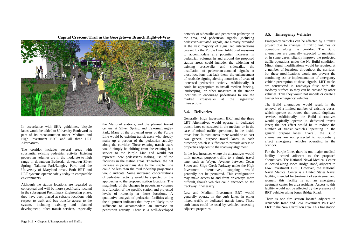In accordance with SHA guidelines, bicycle lanes would be added to University Boulevard as part of its reconstruction under Medium and High Investment BRT and all three LRT Alternatives.

The corridor includes several areas with substantial existing pedestrian activity. Existing pedestrian volumes are in the moderate to high range in downtown Bethesda, downtown Silver Spring, Takoma Park/Langley Park, and the University of Maryland areas. Both BRT and LRT systems operate safely today in comparable environments.

Although the station locations are regarded as conceptual and will be more specifically located in the subsequent Preliminary Engineering phase, they have been placed at suitable locations with respect to walk and bus transfer access to the system, including existing and planned development, other transit services, especially

the Metrorail stations, and the planned transit centers at Silver Spring and Takoma/Langley Park. Many of the projected users of the Purple Line would be existing transit users who already make up a portion of the pedestrian activity along the corridor. These existing transit users would simply be shifting from the existing bus service to the Purple Line and would not represent new pedestrians making use of the facilities in the station areas. Therefore, the net increase in pedestrians due to the Purple Line could be less than the total ridership projections would indicate. Some increased concentrations of pedestrian activity would be expected on the approaches to the proposed station locations. The magnitude of the changes in pedestrian volumes is a function of the specific station and projected levels of ridership at those locations. A qualitative analysis of pedestrian facilities along the alignment indicates that they are likely to be sufficient to accommodate an increase in pedestrian activity. There is a well-developed

network of sidewalks and pedestrian pathways in the area, and pedestrian signals (including pedestrian-actuated signals) are already provided at the vast majority of signalized intersections crossed by the Purple Line. Additional measures to accommodate any potential increases in pedestrian volumes in and around the proposed station areas could include: the widening of existing crosswalks and sidewalks, the installation of pedestrian-actuated signals at those locations that lack them, the enhancement of roadside signing alerting motorists of areas of increased pedestrian activity. Additionally, it could be appropriate to install median fencing, landscaping, or other measures at the station locations to encourage pedestrians to use the marked crosswalks at the signalized intersections.

# **3.4. Deliveries**

Generally, High Investment BRT and the three LRT Alternatives would operate in dedicated transit lanes constructed in the median, or in the case of mixed traffic operations, in the inside travel lane. In most areas, there would be at least two general purpose travel lanes in each direction; which is sufficient to provide access to properties adjacent to the roadway alignment.

In the few instances where the alternatives would limit general purpose traffic to a single travel lane, such as Wayne Avenue between Cedar Street and Sligo Creek Parkway under the High Investment alternatives, stopping would generally not be permitted. This configuration may make access to and from driveways more difficult, though vehicles could encroach on the trackway if necessary.

Low and Medium Investment BRT would generally operate in the curb lanes, in either mixed traffic or dedicated transit lanes. These curb lanes could be used by vehicles accessing adjacent properties.

# **3.5.**





Emergency vehicles can be affected by a transit project due to changes in traffic volumes or operations along the corridor. The Build alternatives are generally expected to maintain, or in some cases, slightly improve the projected traffic operations under the No Build condition. Minor signal modifications would be required at a number of locations throughout the corridor, but these modifications would not prevent the continuing use or implementation of emergency vehicle preemption at those signals. LRT tracks are constructed in roadways flush with the roadway surface so they can be crossed by other vehicles. Thus they would not impede or create a barrier for emergency vehicles.

The Build alternatives would result in the removal of a limited number of existing buses, which operate on routes that would duplicate service. Additionally, the Build alternatives would typically operate in dedicated transit lanes; the net effect would be to reduce the number of transit vehicles operating in the general purpose lanes. Overall, the Build alternatives are not projected to substantially affect emergency vehicles operating in the corridor.

For the Purple Line, there is one major medical facility located adjacent to the proposed alternatives. The National Naval Medical Center is located along Jones Bridge Road, adjacent to Low Investment BRT. However, the National Naval Medical Center is a United States Naval facility, intended for treatment of servicemen and women; this facility is not an emergency treatment center for area residents. Access to this facility would not be affected by the presence of BRT vehicles along Jones Bridge Road.

There is one fire station located adjacent to Annapolis Road and Low Investment BRT and LRT in the New Carrollton area. This fire station